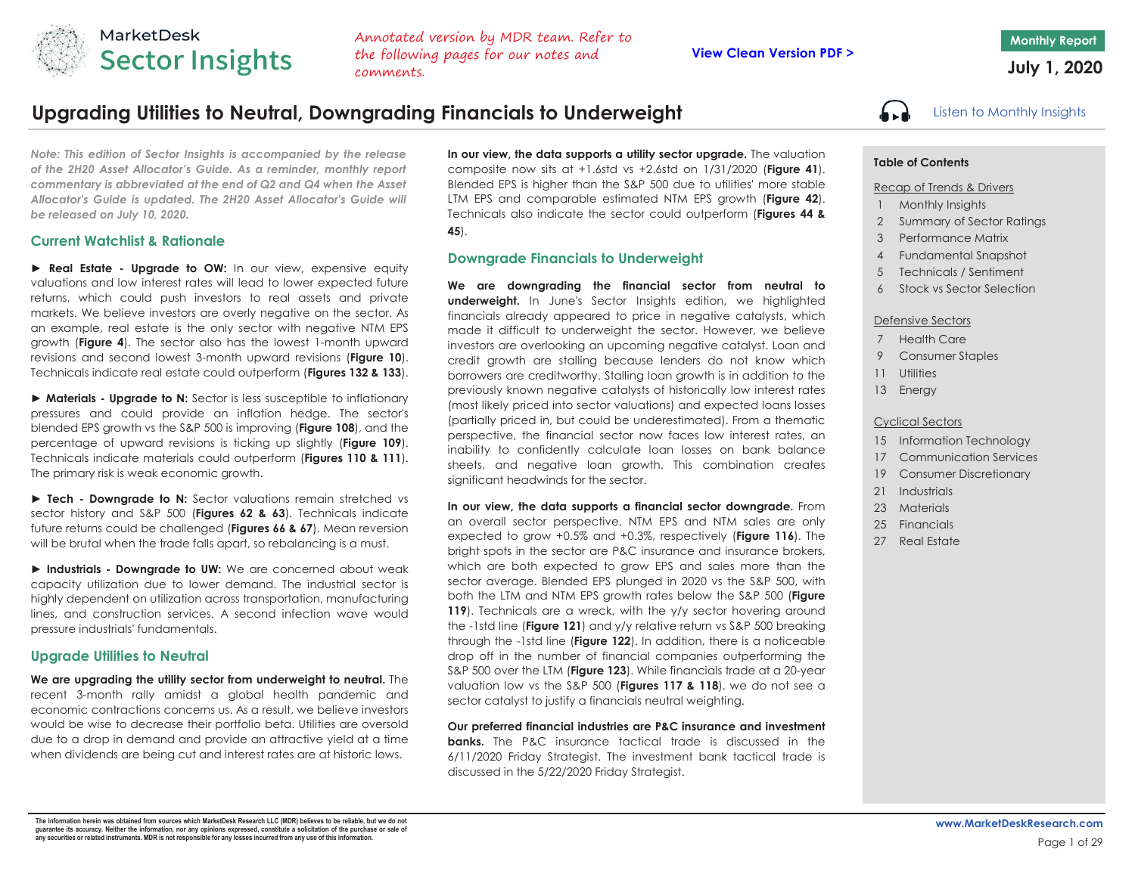

Annotated version by MDR team. Refer to the following pages for our notes and comments.

# Upgrading Utilities to Neutral, Downgrading Financials to Underweight **Listen of the Contract Contains** Insights

*Note: This edition of Sector Insights is accompanied by the release of the 2H20 Asset Allocator's Guide. As <sup>a</sup> reminder, monthly report* commentary is abbreviated at the end of Q2 and Q4 when the Asset *Allocator's Guide is updated. The 2H20 Asset Allocator's Guide will be released on July 10, 2020.*

## **Current Watchlist & Rationale**

**► Real Estate - Upgrade to OW:** In our view, expensive equity valuations and low interest rates will lead to lower expected future returns, which could push investors to real assets and private markets. We believe investors are overly negative on the sector. As an example, real estate is the only sector with negative NTM EPS growth (**Figure 4**). The sector also has the lowest 1-month upward revisions and second lowest 3-month upward revisions (**Figure 10**). Technicals indicate real estate could outperform (**Figures 132 & 133**).

**► Materials - Upgrade to N:** Sector is less susceptible to inflationary pressures and could provide an inflation hedge. The sector's blended EPS growth vs the S&P 500 is improving (**Figure 108**), and the percentage of upward revisions is ticking up slightly (**Figure 109**). Technicals indicate materials could outperform (**Figures 110 & 111**). The primary risk is weak economic growth.

**► Tech - Downgrade to N:** Sector valuations remain stretched vs sector history and S&P 500 (**Figures 62 & 63**). Technicals indicate future returns could be challenged (**Figures 66 & 67**). Mean reversion will be brutal when the trade falls apart, so rebalancing is a must.

**► Industrials - Downgrade to UW:** We are concerned about weak capacity utilization due to lower demand. The industrial sector is highly dependent on utilization across transportation, manufacturing lines, and construction services. A second infection wave wouldpressure industrials' fundamentals.

## **Upgrade Utilities to Neutral**

**We are upgrading the utility sector from underweight to neutral.** The recent 3-month rally amidst <sup>a</sup> global health pandemic and economic contractions concerns us. As <sup>a</sup> result, we believe investors would be wise to decrease their portfolio beta. Utilities are oversold due to <sup>a</sup> drop in demand and provide an attractive yield at <sup>a</sup> time when dividends are being cut and interest rates are at historic lows.

**In our view, the data supports <sup>a</sup> utility sector upgrade.** The valuation composite now sits at +1.6std vs +2.6std on 1/31/2020 (**Figure 41**). Blended EPS is higher than the S&P 500 due to utilities' more stable LTM EPS and comparable estimated NTM EPS growth (**Figure 42**). Technicals also indicate the sector could outperform (**Figures 44 & 45**).

## **Downgrade Financials to Underweight**

**We are downgrading the financial sector from neutral to underweight.** In June's Sector Insights edition, we highlighted financials already appeared to price in negative catalysts, which made it difficult to underweight the sector. However, we believe investors are overlooking an upcoming negative catalyst. Loan and credit growth are stalling because lenders do not know which borrowers are creditworthy. Stalling loan growth is in addition to the previously known negative catalysts of historically low interest rates (most likely priced into sector valuations) and expected loans losses (partially priced in, but could be underestimated). From <sup>a</sup> thematic perspective, the financial sector now faces low interest rates, an inability to confidently calculate loan losses on bank balance sheets, and negative loan growth. This combination creates significant headwinds for the sector.

**In our view, the data supports <sup>a</sup> financial sector downgrade.** From an overall sector perspective, NTM EPS and NTM sales are only expected to grow +0.5% and +0.3%, respectively (**Figure 116**). The bright spots in the sector are P&C insurance and insurance brokers, which are both expected to grow EPS and sales more than the sector average. Blended EPS plunged in 2020 vs the S&P 500, with both the LTM and NTM EPS growth rates below the S&P 500 (**Figure 119**). Technicals are <sup>a</sup> wreck, with the y/y sector hovering around the -1std line (**Figure 121**) and y/y relative return vs S&P 500 breaking through the -1std line (**Figure 122**). In addition, there is <sup>a</sup> noticeable drop off in the number of financial companies outperforming the S&P 500 over the LTM (**Figure 123**). While financials trade at a 20-year valuation low vs the S&P 500 (**Figures 117 & 118**), we do not see <sup>a</sup> sector catalyst to justify a financials neutral weighting.

**Our preferred financial industries are P&C insurance and investment banks.** The P&C insurance tactical trade is discussed in the6/11/2020 Friday Strategist. The investment bank tactical trade is discussed in the 5/22/2020 Friday Strategist.

## **Table of Contents**

#### Recap of Trends & Drivers

- 1 Monthly Insights
- 2 Summary of Sector Ratings
- 3 Performance Matrix
- 4 Fundamental Snapshot
- 5 Technicals / Sentiment
- 6 Stock vs Sector Selection

## Defensive Sectors

- 7 Health Care
- 9 Consumer Staples
- 11 Utilities
- 13 Energy

### Cyclical Sectors

- 15 Information Technology
- 17 Communication Services
- 19 Consumer Discretionary
- 21 Industrials
- 23 Materials
- 25 Financials
- 27 Real Estate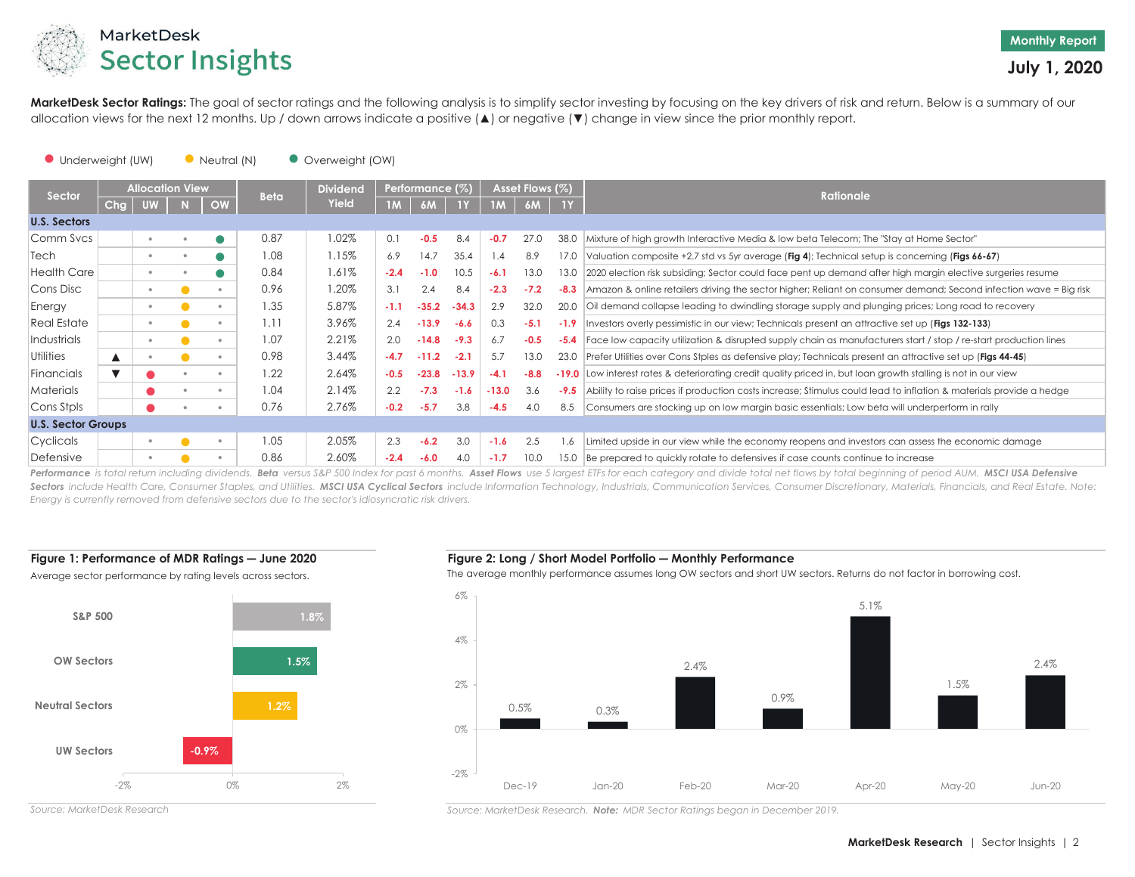

MarketDesk Sector Ratings: The goal of sector ratings and the following analysis is to simplify sector investing by focusing on the key drivers of risk and return. Below is a summary of our allocation views for the next 12 months. Up / down arrows indicate a positive ( ▲) or negative ( ▼) change in view since the prior monthly report.

#### ● Neutral (N) ● Underweight (UW) ● Overweight (OW)

|                           |                  | <b>Allocation View</b> |           | <b>Beta</b> | <b>Dividend</b> |        | Performance (%) |         |         | Asset Flows (%) |        | <b>Rationale</b>                                                                                                   |
|---------------------------|------------------|------------------------|-----------|-------------|-----------------|--------|-----------------|---------|---------|-----------------|--------|--------------------------------------------------------------------------------------------------------------------|
| Sector                    | Chg              |                        | OW        |             | Yield           |        | 6M              | 1Y.     | 1M      |                 | 1Y     |                                                                                                                    |
| <b>U.S. Sectors</b>       |                  |                        |           |             |                 |        |                 |         |         |                 |        |                                                                                                                    |
| Comm Svcs                 |                  | $\bullet$              | $\bullet$ | 0.87        | 1.02%           | 0.1    | $-0.5$          | 8.4     | $-0.7$  | 27.0            | 38.0   | Mixture of high growth Interactive Media & low beta Telecom; The "Stay at Home Sector"                             |
| Tech                      |                  | $\circ$                |           | 1.08        | 1.15%           | 6.9    | 14.7            | 35.4    | .4      | 8.9             | 17.0   | Valuation composite +2.7 std vs 5yr average (Fig 4); Technical setup is concerning (Figs 66-67)                    |
| <b>Health Care</b>        |                  | $\bullet$              |           | 0.84        | 1.61%           | $-2.4$ | $-1.0$          | 10.5    | $-6.1$  | 13.0            | 13.0   | 2020 election risk subsiding; Sector could face pent up demand after high margin elective surgeries resume         |
| Cons Disc                 |                  | $\circ$                |           | 0.96        | 1.20%           | 3.1    | 2.4             | 8.4     | $-2.3$  | $-7.2$          | $-8.3$ | Amazon & online retailers driving the sector higher; Reliant on consumer demand; Second infection wave = Big risk  |
| Energy                    |                  | $^{\circ}$             |           | 1.35        | 5.87%           | $-1.1$ | $-35.2$         | $-34.3$ | 2.9     | 32.0            | 20.0   | Oil demand collapse leading to dwindling storage supply and plunging prices; Long road to recovery                 |
| Real Estate               |                  | $\bullet$              |           | 1.11        | 3.96%           | 2.4    | $-13.9$         | $-6.6$  | 0.3     | $-5.1$          | $-1.9$ | Investors overly pessimistic in our view; Technicals present an attractive set up (Figs 132-133)                   |
| Industrials               |                  | $\bullet$              |           | 1.07        | 2.21%           | 2.0    | $-14.8$         | $-9.3$  | 6.7     | $-0.5$          | $-5.4$ | Face low capacity utilization & disrupted supply chain as manufacturers start / stop / re-start production lines   |
| <b>Utilities</b>          | $\blacktriangle$ |                        |           | 0.98        | 3.44%           | $-4.7$ | $-11.2$         | $-2.1$  | 5.7     | 13.0            | 23.0   | Prefer Utilities over Cons Stples as defensive play; Technicals present an attractive set up (Figs 44-45)          |
| Financials                |                  |                        |           | 1.22        | 2.64%           | $-0.5$ | $-23.8$         | $-13.9$ | $-4.1$  | $-8.8$          |        | -19.0 Low interest rates & deteriorating credit quality priced in, but loan growth stalling is not in our view     |
| <b>Materials</b>          |                  |                        |           | 1.04        | 2.14%           | 2.2    | $-7.3$          | $-1.6$  | $-13.0$ | 3.6             | $-9.5$ | Ability to raise prices if production costs increase; Stimulus could lead to inflation & materials provide a hedge |
| Cons Stpls                |                  |                        |           | 0.76        | 2.76%           | $-0.2$ | $-5.7$          | 3.8     | $-4.5$  | 4.0             | 8.5    | Consumers are stocking up on low margin basic essentials; Low beta will underperform in rally                      |
| <b>U.S. Sector Groups</b> |                  |                        |           |             |                 |        |                 |         |         |                 |        |                                                                                                                    |
| Cyclicals                 |                  | $\circ$                |           | 1.05        | 2.05%           | 2.3    | $-6.2$          | 3.0     | $-1.6$  | 2.5             | 1.6    | Limited upside in our view while the economy reopens and investors can assess the economic damage                  |
| Defensive                 |                  |                        |           | 0.86        | 2.60%           | $-2.4$ | $-6.0$          | 4.0     | $-1.7$  | 10.0            | 15.0   | Be prepared to quickly rotate to defensives if case counts continue to increase                                    |

Performance is total return including dividends. Beta versus S&P 500 Index for past 6 months. Asset Flows use 5 largest ETFs for each category and divide total net flows by total beginning of period AUM. MSCI USA Defensive Sectors include Health Care, Consumer Staples, and Utilities. MSCI USA Cyclical Sectors include Information Technology, Industrials, Communication Services, Consumer Discretionary, Materials, Financials, and Real Estate. N *Energy is currently removed from defensive sectors due to the sector's idiosyncratic risk drivers.*

## **Figure 1: Performance of MDR Ratings – June 2020**



**― June 2020 Figure 2: Long / Short Model Portfolio ― Monthly Performance**

The average monthly performance assumes long OW sectors and short UW sectors. Returns do not factor in borrowing cost.



*Source: MarketDesk Research*

*Source: MarketDesk Research. Note: MDR Sector Ratings began in December 2019.*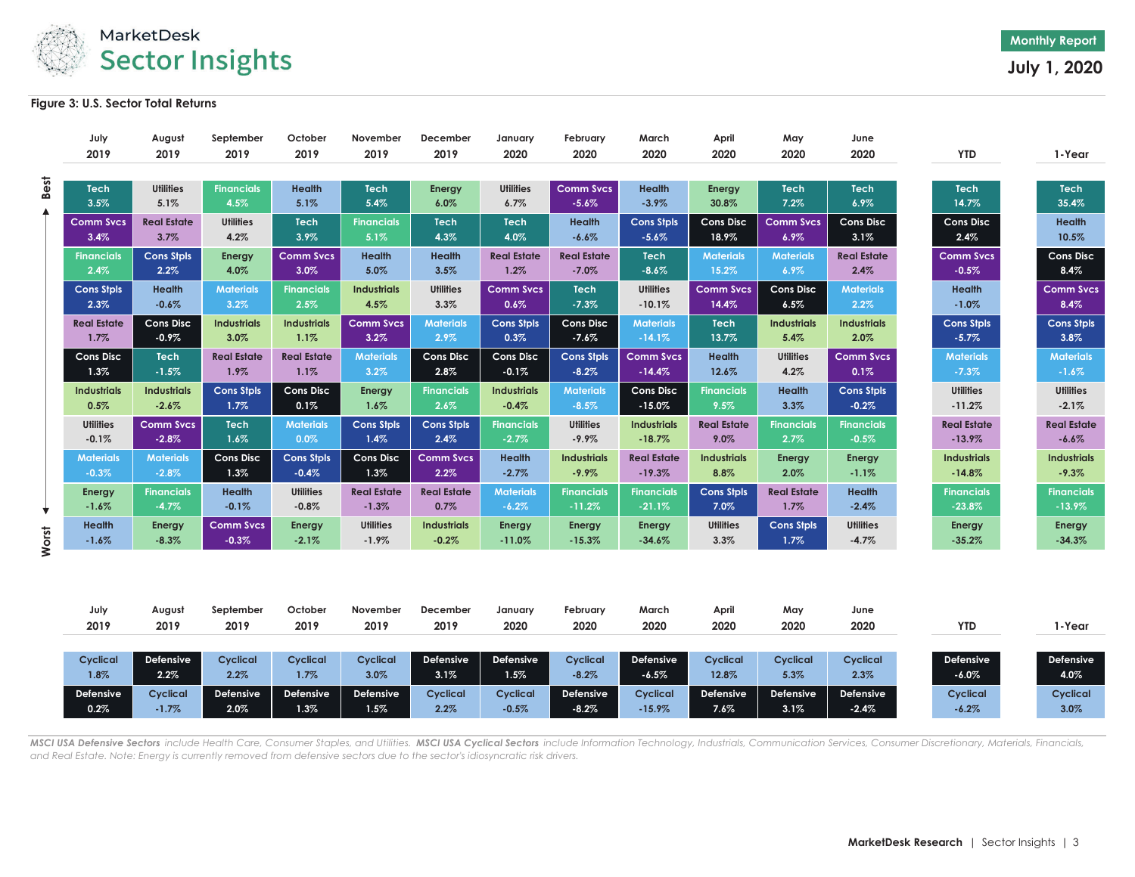

## **Figure 3: U.S. Sector Total Returns**

|       | July                | August                   | September                 | October               | November            | December           | January                  | February                    | March                    | April              | May                 | June                |                      |                      |
|-------|---------------------|--------------------------|---------------------------|-----------------------|---------------------|--------------------|--------------------------|-----------------------------|--------------------------|--------------------|---------------------|---------------------|----------------------|----------------------|
|       | 2019                | 2019                     | 2019                      | 2019                  | 2019                | 2019               | 2020                     | 2020                        | 2020                     | 2020               | 2020                | 2020                | <b>YTD</b>           | 1-Year               |
|       |                     |                          |                           |                       |                     |                    |                          |                             |                          |                    |                     |                     |                      |                      |
| Best  | <b>Tech</b><br>3.5% | <b>Utilities</b><br>5.1% | <b>Financials</b><br>4.5% | <b>Health</b><br>5.1% | <b>Tech</b><br>5.4% | Energy<br>6.0%     | <b>Utilities</b><br>6.7% | <b>Comm Svcs</b><br>$-5.6%$ | <b>Health</b><br>$-3.9%$ | Energy<br>30.8%    | <b>Tech</b><br>7.2% | <b>Tech</b><br>6.9% | <b>Tech</b><br>14.7% | <b>Tech</b><br>35.4% |
|       | <b>Comm Sycs</b>    | <b>Real Estate</b>       | <b>Utilities</b>          | <b>Tech</b>           | <b>Financials</b>   | <b>Tech</b>        | <b>Tech</b>              | <b>Health</b>               | <b>Cons Stpls</b>        | <b>Cons Disc</b>   | <b>Comm Sycs</b>    | <b>Cons Disc</b>    | <b>Cons Disc</b>     | <b>Health</b>        |
|       | 3.4%                | 3.7%                     | 4.2%                      | 3.9%                  | 5.1%                | 4.3%               | 4.0%                     | $-6.6%$                     | $-5.6%$                  | 18.9%              | $6.9\%$             | 3.1%                | 2.4%                 | 10.5%                |
|       | <b>Financials</b>   | <b>Cons Stpls</b>        | Energy                    | <b>Comm Svcs</b>      | <b>Health</b>       | <b>Health</b>      | <b>Real Estate</b>       | <b>Real Estate</b>          | <b>Tech</b>              | <b>Materials</b>   | <b>Materials</b>    | <b>Real Estate</b>  | <b>Comm Svcs</b>     | <b>Cons Disc</b>     |
|       | 2.4%                | 2.2%                     | 4.0%                      | 3.0%                  | 5.0%                | 3.5%               | 1.2%                     | $-7.0\%$                    | $-8.6%$                  | 15.2%              | $6.9\%$             | 2.4%                | $-0.5%$              | 8.4%                 |
|       | <b>Cons Stpls</b>   | <b>Health</b>            | <b>Materials</b>          | <b>Financials</b>     | <b>Industrials</b>  | <b>Utilities</b>   | <b>Comm Svcs</b>         | <b>Tech</b>                 | <b>Utilities</b>         | <b>Comm Svcs</b>   | <b>Cons Disc</b>    | <b>Materials</b>    | Health               | <b>Comm Svcs</b>     |
|       | 2.3%                | $-0.6%$                  | 3.2%                      | 2.5%                  | 4.5%                | 3.3%               | $0.6\%$                  | $-7.3%$                     | $-10.1%$                 | 14.4%              | 6.5%                | $2.2\%$             | $-1.0%$              | 8.4%                 |
|       | <b>Real Estate</b>  | <b>Cons Disc</b>         | <b>Industrials</b>        | <b>Industrials</b>    | <b>Comm Sycs</b>    | <b>Materials</b>   | <b>Cons Stpls</b>        | <b>Cons Disc</b>            | <b>Materials</b>         | <b>Tech</b>        | <b>Industrials</b>  | <b>Industrials</b>  | <b>Cons Stpls</b>    | <b>Cons Stpls</b>    |
|       | 1.7%                | $-0.9%$                  | 3.0%                      | 1.1%                  | 3.2%                | 2.9%               | 0.3%                     | $-7.6%$                     | $-14.1%$                 | 13.7%              | 5.4%                | 2.0%                | $-5.7%$              | 3.8%                 |
|       | <b>Cons Disc</b>    | <b>Tech</b>              | <b>Real Estate</b>        | <b>Real Estate</b>    | <b>Materials</b>    | <b>Cons Disc</b>   | <b>Cons Disc</b>         | <b>Cons Stpls</b>           | <b>Comm Svcs</b>         | <b>Health</b>      | <b>Utilities</b>    | <b>Comm Svcs</b>    | <b>Materials</b>     | <b>Materials</b>     |
|       | 1.3%                | $-1.5%$                  | 1.9%                      | 1.1%                  | 3.2%                | 2.8%               | $-0.1%$                  | $-8.2%$                     | $-14.4%$                 | 12.6%              | 4.2%                | 0.1%                | $-7.3%$              | $-1.6\%$             |
|       | <b>Industrials</b>  | <b>Industrials</b>       | <b>Cons Stpls</b>         | <b>Cons Disc</b>      | <b>Energy</b>       | <b>Financials</b>  | <b>Industrials</b>       | <b>Materials</b>            | <b>Cons Disc</b>         | <b>Financials</b>  | <b>Health</b>       | <b>Cons Stpls</b>   | <b>Utilities</b>     | <b>Utilities</b>     |
|       | 0.5%                | $-2.6%$                  | 1.7%                      | 0.1%                  | 1.6%                | 2.6%               | $-0.4%$                  | $-8.5%$                     | $-15.0%$                 | 9.5%               | 3.3%                | $-0.2%$             | $-11.2%$             | $-2.1%$              |
|       | <b>Utilities</b>    | <b>Comm Sycs</b>         | <b>Tech</b>               | <b>Materials</b>      | <b>Cons Stpls</b>   | <b>Cons Stpls</b>  | <b>Financials</b>        | <b>Utilities</b>            | <b>Industrials</b>       | <b>Real Estate</b> | <b>Financials</b>   | <b>Financials</b>   | <b>Real Estate</b>   | <b>Real Estate</b>   |
|       | $-0.1%$             | $-2.8%$                  | 1.6%                      | 0.0%                  | 1.4%                | 2.4%               | $-2.7%$                  | $-9.9\%$                    | $-18.7%$                 | 9.0%               | 2.7%                | $-0.5%$             | $-13.9%$             | $-6.6%$              |
|       | <b>Materials</b>    | <b>Materials</b>         | <b>Cons Disc</b>          | <b>Cons Stpls</b>     | <b>Cons Disc</b>    | <b>Comm Svcs</b>   | <b>Health</b>            | <b>Industrials</b>          | <b>Real Estate</b>       | <b>Industrials</b> | <b>Energy</b>       | Energy              | <b>Industrials</b>   | <b>Industrials</b>   |
|       | $-0.3%$             | $-2.8%$                  | 1.3%                      | $-0.4%$               | 1.3%                | $2.2\%$            | $-2.7%$                  | $-9.9\%$                    | $-19.3%$                 | 8.8%               | 2.0%                | $-1.1%$             | $-14.8%$             | $-9.3%$              |
|       | Energy              | <b>Financials</b>        | <b>Health</b>             | <b>Utilities</b>      | <b>Real Estate</b>  | <b>Real Estate</b> | <b>Materials</b>         | <b>Financials</b>           | <b>Financials</b>        | <b>Cons Stpls</b>  | <b>Real Estate</b>  | <b>Health</b>       | <b>Financials</b>    | <b>Financials</b>    |
| ▼     | $-1.6%$             | $-4.7%$                  | $-0.1%$                   | $-0.8%$               | $-1.3%$             | 0.7%               | $-6.2%$                  | $-11.2%$                    | $-21.1%$                 | 7.0%               | 1.7%                | $-2.4%$             | $-23.8%$             | $-13.9\%$            |
|       | Health              | Energy                   | <b>Comm Svcs</b>          | Energy                | <b>Utilities</b>    | <b>Industrials</b> | Energy                   | Energy                      | Energy                   | <b>Utilities</b>   | <b>Cons Stpls</b>   | <b>Utilities</b>    | Energy               | <b>Energy</b>        |
| Worst | $-1.6%$             | $-8.3%$                  | $-0.3%$                   | $-2.1%$               | $-1.9%$             | $-0.2%$            | $-11.0%$                 | $-15.3%$                    | $-34.6%$                 | 3.3%               | 1.7%                | $-4.7%$             | $-35.2%$             | $-34.3%$             |

| July      | August    | September        | October   | November         | December        | January         | February        | March     | April           | May             | June             |            |           |
|-----------|-----------|------------------|-----------|------------------|-----------------|-----------------|-----------------|-----------|-----------------|-----------------|------------------|------------|-----------|
| 2019      | 2019      | 2019             | 2019      | 2019             | 2019            | 2020            | 2020            | 2020      | 2020            | 2020            | 2020             | <b>YTD</b> | i-Year    |
|           |           |                  |           |                  |                 |                 |                 |           |                 |                 |                  |            |           |
| Cyclical  | Defensive | <b>Cyclical</b>  | Cyclical  | <b>Cyclical</b>  | Defensive       | Defensive       | <b>Cyclical</b> | Defensive | <b>Cyclical</b> | <b>Cyclical</b> | Cyclical         | Defensive  | Defensive |
| 1.8%      | 2.2%      | 2.2%             | $1.7\%$   | 3.0%             | 3.1%            | 1.5%            | $-8.2%$         | $-6.5%$   | 12.8%           | 5.3%            | 2.3%             | $-6.0\%$   | 4.0%      |
| Defensive | Cyclical  | <b>Defensive</b> | Defensive | <b>Defensive</b> | <b>Cyclical</b> | <b>Cyclical</b> | Defensive       | Cyclical  | Defensive       | Defensive       | <b>Defensive</b> | Cyclical   | Cyclical  |
| 0.2%      | $-1.7%$   | 2.0%             | $1.3\%$   | $1.5\%$          | 2.2%            | $-0.5%$         | $-8.2%$         | $-15.9%$  | $7.6\%$         | 3.1%            | $-2.4%$          | $-6.2%$    | 3.0%      |

MSCI USA Defensive Sectors include Health Care, Consumer Staples, and Utilities. MSCI USA Cyclical Sectors include Information Technology, Industrials, Communication Services, Consumer Discretionary, Materials, Financials, *and Real Estate. Note: Energy is currently removed from defensive sectors due to the sector's idiosyncratic risk drivers.*

**Monthly Report**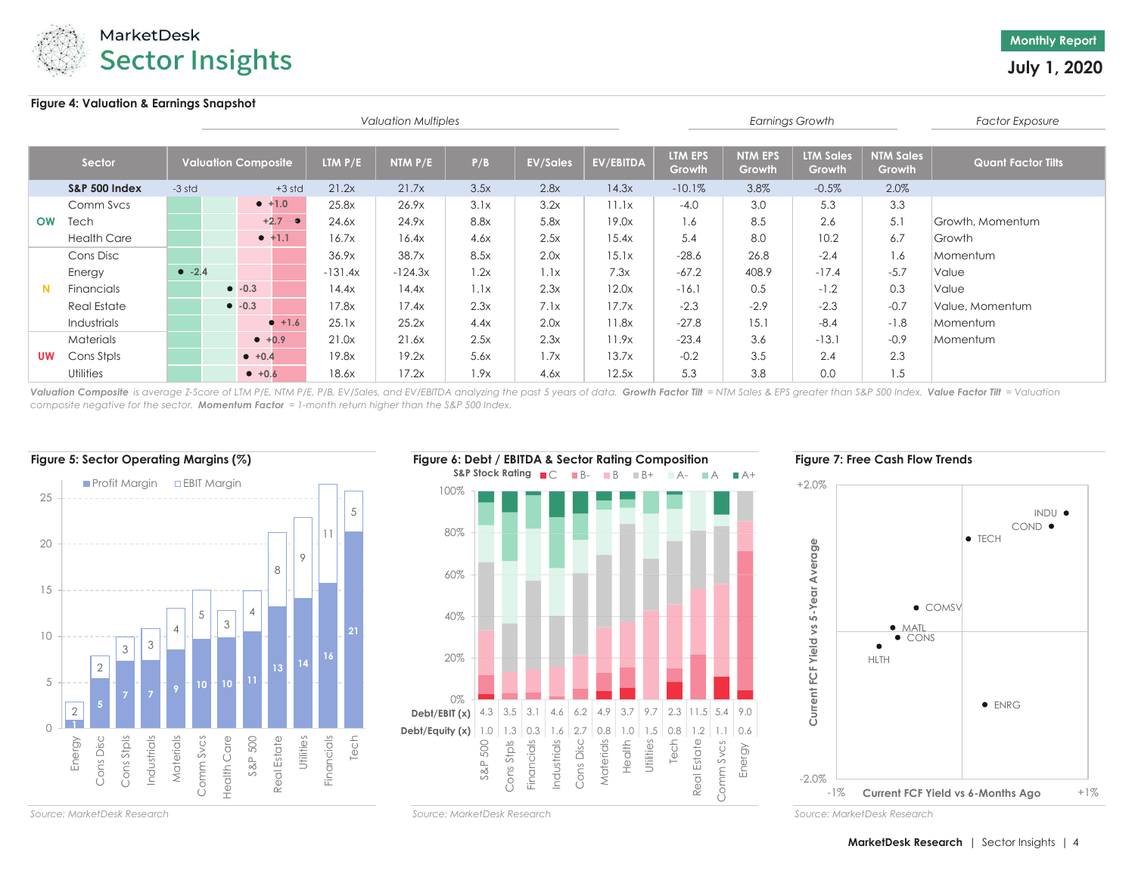

## **Figure 4: Valuation & Earnings Snapshot**

|           |                          |          |                            |            |           | <b>Valuation Multiples</b> |      |                 |           |                   |                          | <b>Earnings Growth</b>     |                            | <b>Factor Exposure</b>    |
|-----------|--------------------------|----------|----------------------------|------------|-----------|----------------------------|------|-----------------|-----------|-------------------|--------------------------|----------------------------|----------------------------|---------------------------|
|           | Sector                   |          | <b>Valuation Composite</b> |            | LTM $P/E$ | NTM $P/E$                  | P/B  | <b>EV/Sales</b> | EV/EBITDA | LTM EPS<br>Growth | <b>NTM EPS</b><br>Growth | <b>LTM Sales</b><br>Growth | <b>NTM Sales</b><br>Growth | <b>Quant Factor Tilts</b> |
|           | <b>S&amp;P 500 Index</b> | $-3$ std |                            | $+3$ std   | 21.2x     | 21.7x                      | 3.5x | 2.8x            | 14.3x     | $-10.1%$          | 3.8%                     | $-0.5%$                    | 2.0%                       |                           |
|           | Comm Svcs                |          |                            | $• +1.0$   | 25.8x     | 26.9x                      | 3.1x | 3.2x            | 11.1x     | $-4.0$            | 3.0                      | 5.3                        | 3.3                        |                           |
| <b>OW</b> | Tech                     |          |                            | $+2.7 - 9$ | 24.6x     | 24.9x                      | 8.8x | 5.8x            | 19.0x     | 1.6               | 8.5                      | 2.6                        | 5.1                        | Growth, Momentum          |
|           | <b>Health Care</b>       |          |                            | $• +1.1$   | 16.7x     | 16.4x                      | 4.6x | 2.5x            | 15.4x     | 5.4               | 8.0                      | 10.2                       | 6.7                        | Growth                    |
|           | Cons Disc                |          |                            |            | 36.9x     | 38.7x                      | 8.5x | 2.0x            | 15.1x     | $-28.6$           | 26.8                     | $-2.4$                     | 1.6                        | Momentum                  |
|           | Energy                   | $-2.4$   |                            |            | $-131.4x$ | $-124.3x$                  | 1.2x | 1.1x            | 7.3x      | $-67.2$           | 408.9                    | $-17.4$                    | $-5.7$                     | Value                     |
| N         | Financials               |          | $\bullet$ -0.3             |            | 14.4x     | 14.4x                      | 1.1x | 2.3x            | 12.0x     | $-16.1$           | 0.5                      | $-1.2$                     | 0.3                        | Value                     |
|           | <b>Real Estate</b>       |          | $-0.3$                     |            | 17.8x     | 17.4x                      | 2.3x | 7.1x            | 17.7x     | $-2.3$            | $-2.9$                   | $-2.3$                     | $-0.7$                     | Value, Momentum           |
|           | Industrials              |          |                            | $• +1.6$   | 25.1x     | 25.2x                      | 4.4x | 2.0x            | 11.8x     | $-27.8$           | 15.1                     | $-8.4$                     | $-1.8$                     | Momentum                  |
|           | <b>Materials</b>         |          |                            | $+0.9$     | 21.0x     | 21.6x                      | 2.5x | 2.3x            | 11.9x     | $-23.4$           | 3.6                      | $-13.1$                    | $-0.9$                     | Momentum                  |
| <b>UW</b> | Cons Stpls               |          | $+0.4$                     |            | 19.8x     | 19.2x                      | 5.6x | 1.7x            | 13.7x     | $-0.2$            | 3.5                      | 2.4                        | 2.3                        |                           |
|           | Utilities                |          | $+0.6$                     |            | 18.6x     | 17.2x                      | 1.9x | 4.6x            | 12.5x     | 5.3               | 3.8                      | 0.0                        | 1.5                        |                           |

**Valuation Composite** is average Z-Score of LTM P/E, NTM P/E, P/B, EV/Sales, and EV/EBITDA analyzing the past 5 years of data**. Growth Factor Tilt** = NTM Sales & EPS greater than S&P 500 Index. **Value Factor Tilt** = Valuat *composite negative for the sector. Momentum Factor = 1-month return higher than the S&P 500 Index.*





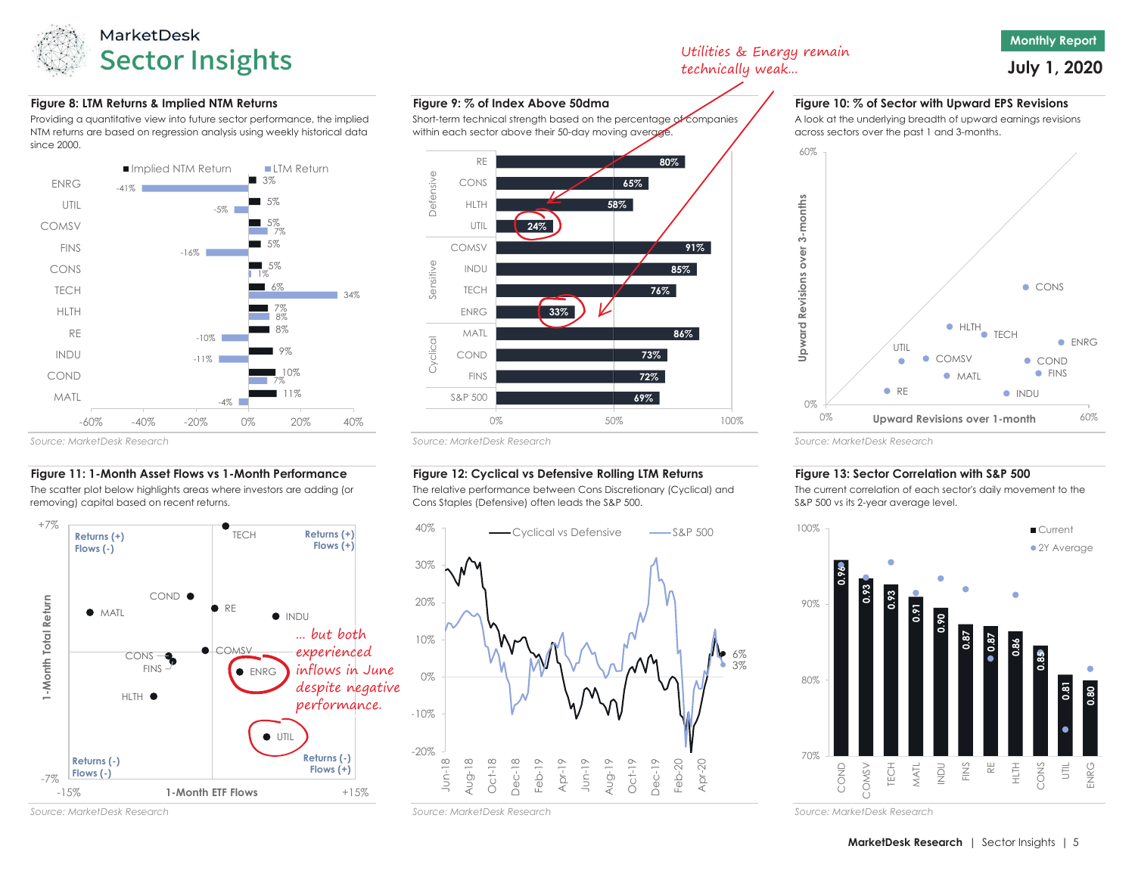

## **Figure 8: LTM Returns & Implied NTM Returns Figure 9: % of Index Above 50dma Figure 10: % of Sector with Upward EPS Revisions**

Providing a quantitative view into future sector performance, the implied NTM returns are based on regression analysis using weekly historical data since 2000.



#### *Source: MarketDesk Research*

## **Figure 11: 1-Month Asset Flows vs 1-Month Performance Figure 12: Cyclical vs Defensive Rolling LTM Returns Figure 13: Sector Correlation with S&P 500**

The scatter plot below highlights areas where investors are adding (or removing) capital based on recent returns.





**69%72%**

0% 50% 100%

### 6% 3%-20%-10%0%10%20%30% Jun-18 Aug-18 Oct-18 Dec-18 Feb-19 Apr-19 Jun-19 Aug-19 Oct-19 Dec-19 Feb-20 Apr-20

The relative performance between Cons Discretionary (Cyclical) and

Utilities & Energy remain technically weak...

# **July 1, 2020**

**Monthly Report**

A look at the underlying breadth of upward earnings revisions across sectors over the past 1 and 3-months.



### *Source: MarketDesk Research Source: MarketDesk Research*

The current correlation of each sector's daily movement to the S&P 500 vs its 2-year average level.



*Source: MarketDesk Research Source: MarketDesk Research*

 S&P 500FINS

Short-term technical strength based on the percentage of companies within each sector above their 50-day moving average.

Cons Staples (Defensive) often leads the S&P 500.  $-Cyclical vs. Defensive$   $\longrightarrow$  S&P 500

40%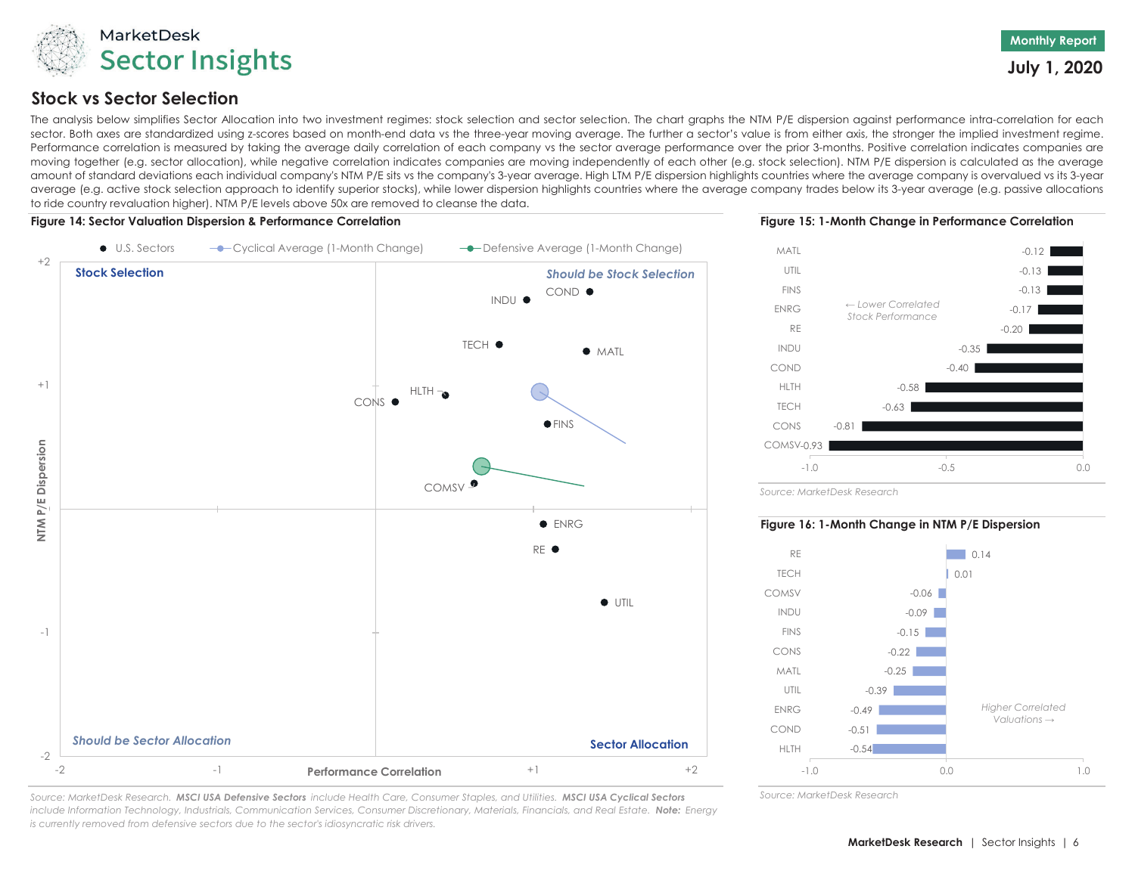

# **Stock vs Sector Selection**

The analysis below simplifies Sector Allocation into two investment regimes: stock selection and sector selection. The chart graphs the NTM P/E dispersion against performance intra-correlation for each sector. Both axes are standardized using z-scores based on month-end data vs the three-year moving average. The further <sup>a</sup> sector's value is from either axis, the stronger the implied investment regime. Performance correlation is measured by taking the average daily correlation of each company vs the sector average performance over the prior 3-months. Positive correlation indicates companies are moving together (e.g. sector allocation), while negative correlation indicates companies are moving independently of each other (e.g. stock selection). NTM P/E dispersion is calculated as the average amount of standard deviations each individual company's NTM P/E sits vs the company's 3-year average. High LTM P/E dispersion highlights countries where the average company is overvalued vs its 3-year average (e.g. active stock selection approach to identify superior stocks), while lower dispersion highlights countries where the average company trades below its 3-year average (e.g. passive allocations to ride country revaluation higher). NTM P/E levels above 50x are removed to cleanse the data.



*Source: MarketDesk Research. MSCI USA Defensive Sectors include Health Care, Consumer Staples, and Utilities. MSCI USA Cyclical Sectors include Information Technology, Industrials, Communication Services, Consumer Discretionary, Materials, Financials, and Real Estate. Note: Energy is currently removed from defensive sectors due to the sector's idiosyncratic risk drivers.*





*Source: MarketDesk Research*

## **Figure 16: 1-Month Change in NTM P/E Dispersion**



*Source: MarketDesk Research*

**July 1, 2020**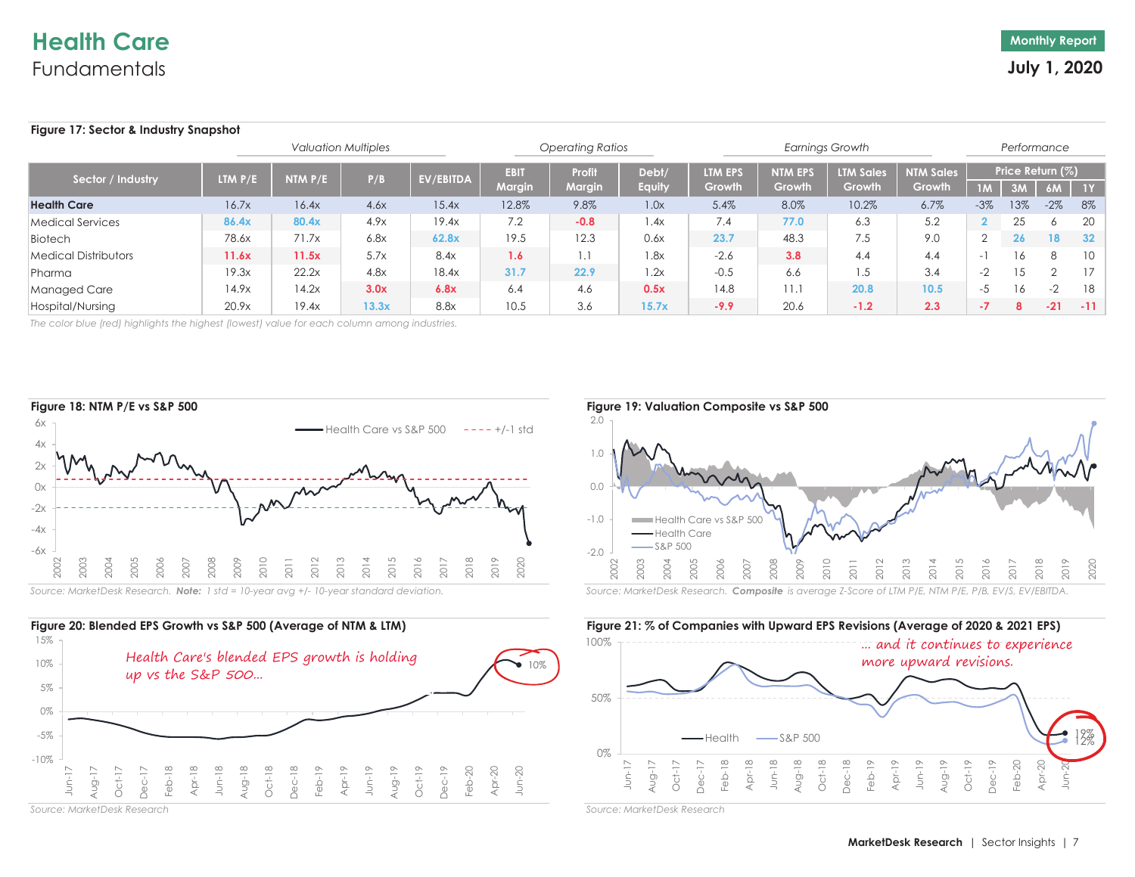# **Health Care**Fundamentals

## **Figure 17: Sector & Industry Snapshot**

|                             |                |         | <b>Operating Ratios</b> |           |                              |                  | <b>Earnings Growth</b> |                          |                          | Performance                       |                            |                          |                        |       |       |
|-----------------------------|----------------|---------|-------------------------|-----------|------------------------------|------------------|------------------------|--------------------------|--------------------------|-----------------------------------|----------------------------|--------------------------|------------------------|-------|-------|
| Sector / Industry           | <b>LTM P/E</b> | NTM P/E | P/B                     | EV/EBITDA | <b>EBIT</b><br><b>Margin</b> | Profit<br>Margin | Debt/<br><b>Equity</b> | <b>LTM EPS</b><br>Growth | <b>NTM EPS</b><br>Growth | <b>LTM Sales</b><br><b>Growth</b> | <b>NTM Sales</b><br>Growth |                          | Price Return (%)<br>3M | 6M    | $-1Y$ |
| <b>Health Care</b>          | 16.7x          | 16.4x   | 4.6x                    | 15.4x     | 12.8%                        | 9.8%             | 1.0x                   | 5.4%                     | 8.0%                     | 10.2%                             | 6.7%                       | $-3%$                    | 13%                    | $-2%$ | 8%    |
| Medical Services            | 86.4x          | 80.4x   | 4.9x                    | 19.4x     | 7.2                          | $-0.8$           | .4x                    | 7.4                      | 77.0                     | 6.3                               | 5.2                        |                          | 25                     |       | 20    |
| Biotech                     | 78.6x          | 71.7x   | 6.8x                    | 62.8x     | 19.5                         | 12.3             | 0.6x                   | 23.7                     | 48.3                     | 7.5                               | 9.0                        |                          | 26                     | 18    | - 32  |
| <b>Medical Distributors</b> | 11.6x          | 11.5x   | 5.7x                    | 8.4x      | 1.6                          | . .              | .8x                    | $-2.6$                   | 3.8                      | 4.4                               | 4.4                        | $\overline{\phantom{0}}$ | 16                     | 8     | 10    |
| Pharma                      | 19.3x          | 22.2x   | 4.8x                    | 18.4x     | 31.7                         | 22.9             | 1.2x                   | $-0.5$                   | 6.6                      | 1.5                               | 3.4                        | $-2$                     |                        |       | 17    |
| Managed Care                | 14.9x          | 14.2x   | 3.0x                    | 6.8x      | 6.4                          | 4.6              | 0.5x                   | 14.8                     | 11.1                     | 20.8                              | 10.5                       | -5                       | 16                     | $-2$  | -18   |
| Hospital/Nursing            | 20.9x          | 19.4x   | 13.3x                   | 8.8x      | 10.5                         | 3.6              | 15.7x                  | $-9.9$                   | 20.6                     | $-1.2$                            | 2.3                        | - 1                      | 8                      | $-21$ | $-11$ |

*The color blue (red) highlights the highest (lowest) value for each column among industries.*





*Source: MarketDesk Research*



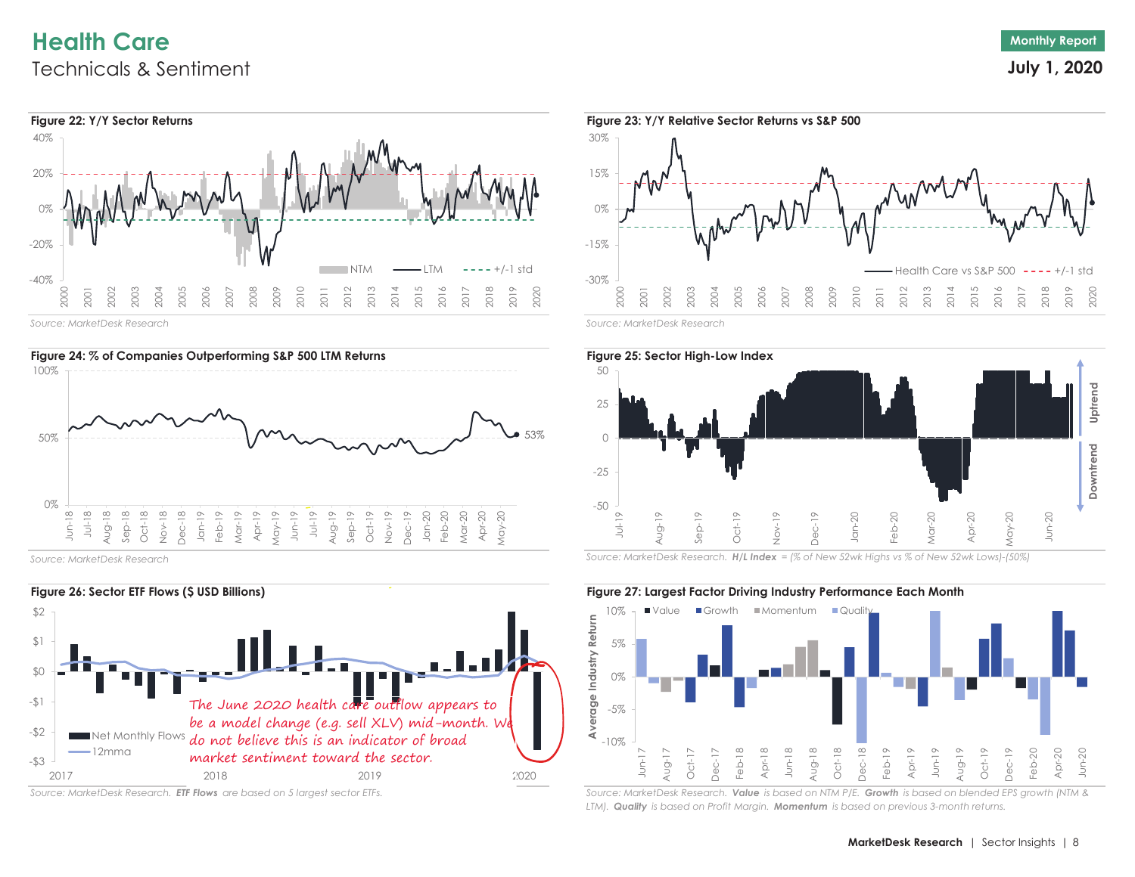# **Health Care**Technicals & Sentiment



*Source: MarketDesk Research*



*Source: MarketDesk Research*



*Source: MarketDesk Research. ETF Flows are based on 5 largest sector ETFs.*





*Source: MarketDesk Research. H/L Index = (% of New 52wk Highs vs % of New 52wk Lows)-(50%)*



*Source: MarketDesk Research. Value is based on NTM P/E. Growth is based on blended EPS growth (NTM & LTM). Quality is based on Profit Margin. Momentum is based on previous 3-month returns.*

**July 1, 2020**

**Monthly Report**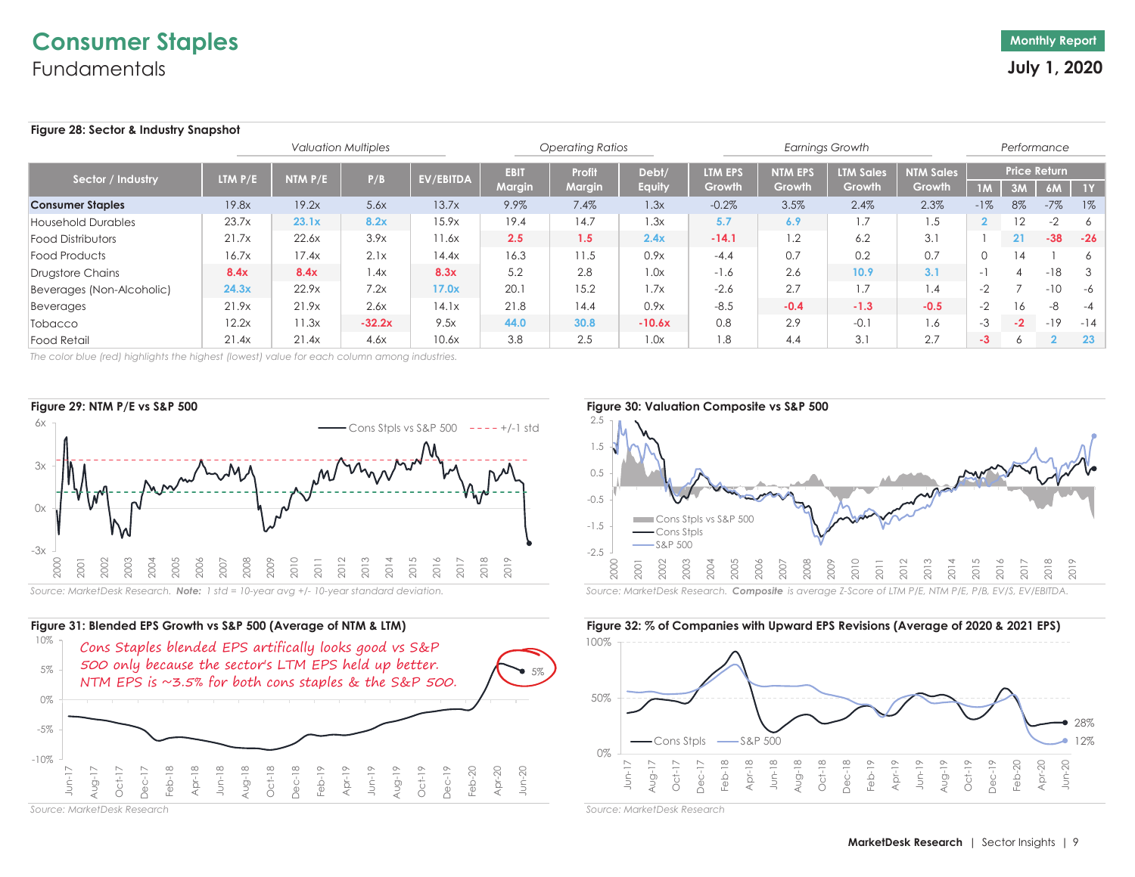## **Figure 28: Sector & Industry Snapshot**

|                           |           |           | <b>Valuation Multiples</b> |           |                              | <b>Operating Ratios</b> |                 |                   |                          | <b>Earnings Growth</b>     |                            |                |              | Performance               |       |
|---------------------------|-----------|-----------|----------------------------|-----------|------------------------------|-------------------------|-----------------|-------------------|--------------------------|----------------------------|----------------------------|----------------|--------------|---------------------------|-------|
| Sector / Industry         | LTM $P/E$ | NTM $P/E$ | P/B                        | EV/EBITDA | <b>EBIT</b><br><b>Margin</b> | Profi<br><b>Margin</b>  | Debt/<br>Equity | LTM EPS<br>Growth | <b>NTM EPS</b><br>Growth | <b>LTM Sales</b><br>Growth | <b>NTM Sales</b><br>Growth | 1M             | 3M           | <b>Price Return</b><br>6M | $-1Y$ |
| <b>Consumer Staples</b>   | 19.8x     | 19.2x     | 5.6x                       | 13.7x     | 9.9%                         | 7.4%                    | 1.3x            | $-0.2%$           | 3.5%                     | 2.4%                       | 2.3%                       | $-1%$          | 8%           | $-7\%$                    | $1\%$ |
| Household Durables        | 23.7x     | 23.1x     | 8.2x                       | 15.9x     | 19.4                         | 14.7                    | 1.3x            | 5.7               | 6.9                      | 1.7                        | 1.5                        | $\overline{2}$ | 12           | $-2$                      | -6    |
| <b>Food Distributors</b>  | 21.7x     | 22.6x     | 3.9x                       | 11.6x     | 2.5                          | 1.5                     | 2.4x            | $-14.1$           | 1.2                      | 6.2                        | 3.1                        |                | 21           | $-38$                     | $-26$ |
| Food Products             | 16.7x     | 17.4x     | 2.1x                       | 14.4x     | 16.3                         | 11.5                    | 0.9x            | $-4.4$            | 0.7                      | 0.2                        | 0.7                        |                | 14           |                           | 6     |
| Drugstore Chains          | 8.4x      | 8.4x      | 1.4x                       | 8.3x      | 5.2                          | 2.8                     | 1.0x            | $-1.6$            | 2.6                      | 10.9                       | 3.1                        | $\sim$         |              | $-18$                     | - 3   |
| Beverages (Non-Alcoholic) | 24.3x     | 22.9x     | 7.2x                       | 17.0x     | 20.1                         | 15.2                    | 1.7x            | $-2.6$            | 2.7                      | 1.7                        | 4.،                        | $-2$           |              | $-10$                     | -6    |
| Beverages                 | 21.9x     | 21.9x     | 2.6x                       | 14.1x     | 21.8                         | 14.4                    | 0.9x            | $-8.5$            | $-0.4$                   | $-1.3$                     | $-0.5$                     | $-2$           | 16           | -8                        | -4    |
| Tobacco                   | 12.2x     | 11.3x     | $-32.2x$                   | 9.5x      | 44.0                         | 30.8                    | $-10.6x$        | 0.8               | 2.9                      | $-0.1$                     | 1.6                        | -3             | $-2$         | $-19$                     | $-14$ |
| <b>Food Retail</b>        | 21.4x     | 21.4x     | 4.6x                       | 10.6x     | 3.8                          | 2.5                     | 1.0x            | 1.8               | 4.4                      | 3.1                        | 2.7                        | $-3$           | <sup>6</sup> |                           | 23    |

*The color blue (red) highlights the highest (lowest) value for each column among industries.*





*Source: MarketDesk Research*



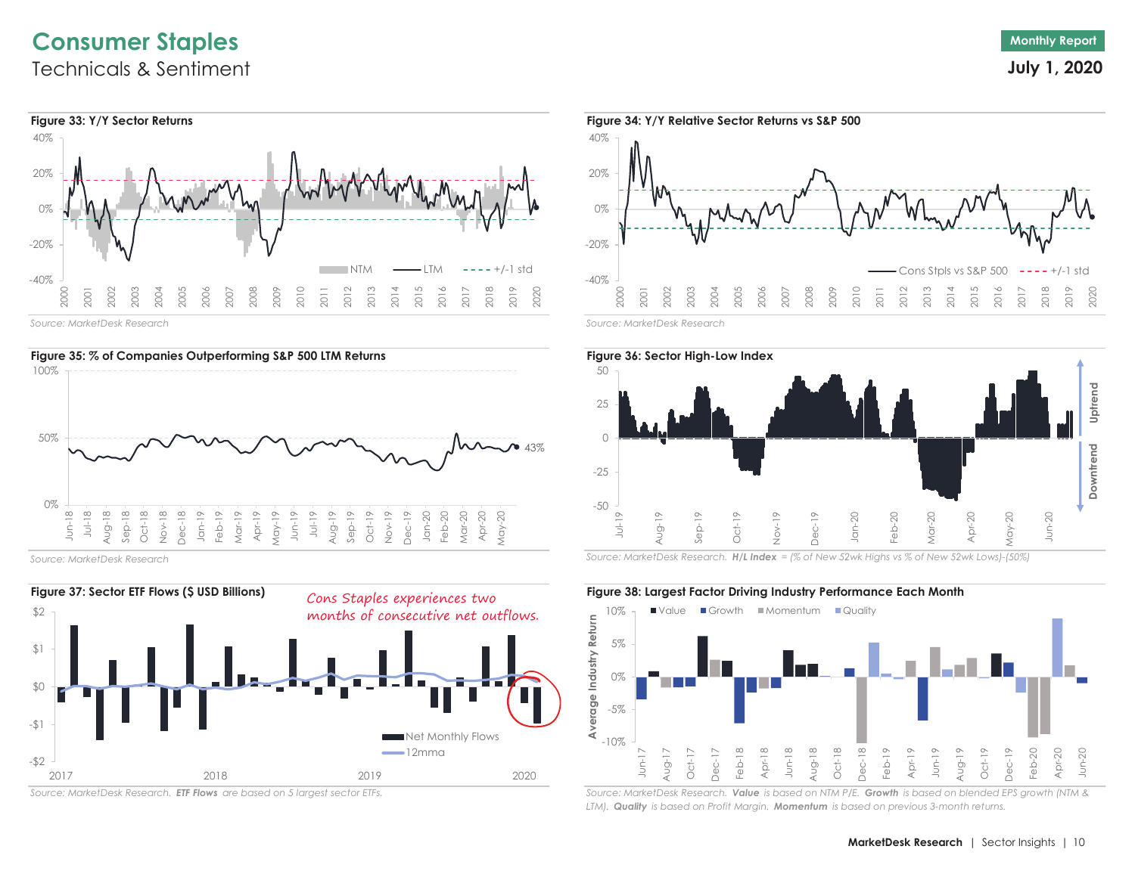# **Consumer Staples** Technicals & Sentiment



*Source: MarketDesk Research*



*Source: MarketDesk Research*



*Source: MarketDesk Research. ETF Flows are based on 5 largest sector ETFs.*



**Monthly Report July 1, 2020**



*Source: MarketDesk Research. H/L Index = (% of New 52wk Highs vs % of New 52wk Lows)-(50%)*

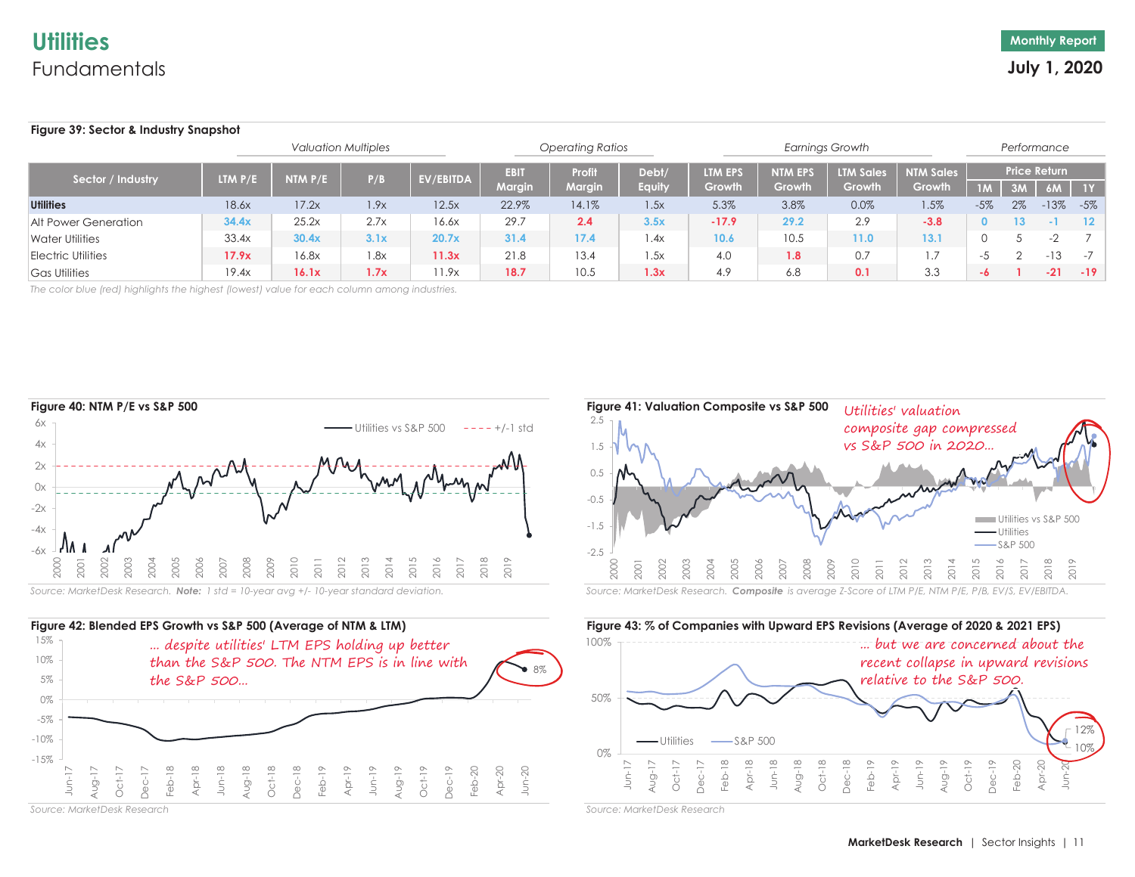#### **Figure 39: Sector & Industry Snapshot 1M 3M 6M 1YUtilities** -5% 2% -13% -5%Alt Power Generation **0 13 -1 12** Water Utilitiess | 33.4x | **30.4x | 3.1x | 20.7x | 31.4 | 17.4 | 1.**4x | 1**0.6 | 10.5 | 11.0 | 13.1 | O 5 -**2 *7* Electric Utilitiess **17.9x** 16.8x 1.8x **11.3x** 21.8 1.34 1.5x 4.0 1**.8** 0.7 1.7 -5 2 -13 -7 Gas Utilities **-6 1 -21 -19** 19.4x **16.1x 1.7x** 11.9x **18.7** 10.5 **1.3x** 4.9 6.8 **0.1** 3.3 13.4 1.5x 4.0 **1.8** 0.7 1.7 33.4x **30.4x 3.1x 20.7x 31.4 17.4** 1.4x **10.6** 10.5 *Valuation Multiples Operating Ratios Earnings Growth Performance* Sector / Industry LTM P/E NTM P/E P/B EV/EBITDA EBIT Profit Debt/ LTM EPS NTM EPS LTM Sales NTM Sales Price Return<br>Margin Gautiy Growth Growth Growth Growth Growth Growth Growth Growth 0.0% 1.5% **34.4x** 25.2x 2.7x 16.6x 29.7 **2.4 3.5x -17.9 29.2** 2.9 **-3.8** 18.6x 17.2x 1.9x 12.5x 22.9% 14.1% 1.5x 5.3% 3.8% **11.0 13.1 17.9x**16.8x 1.8x 11.3x 21.8

*The color blue (red) highlights the highest (lowest) value for each column among industries.*





*Source: MarketDesk Research*



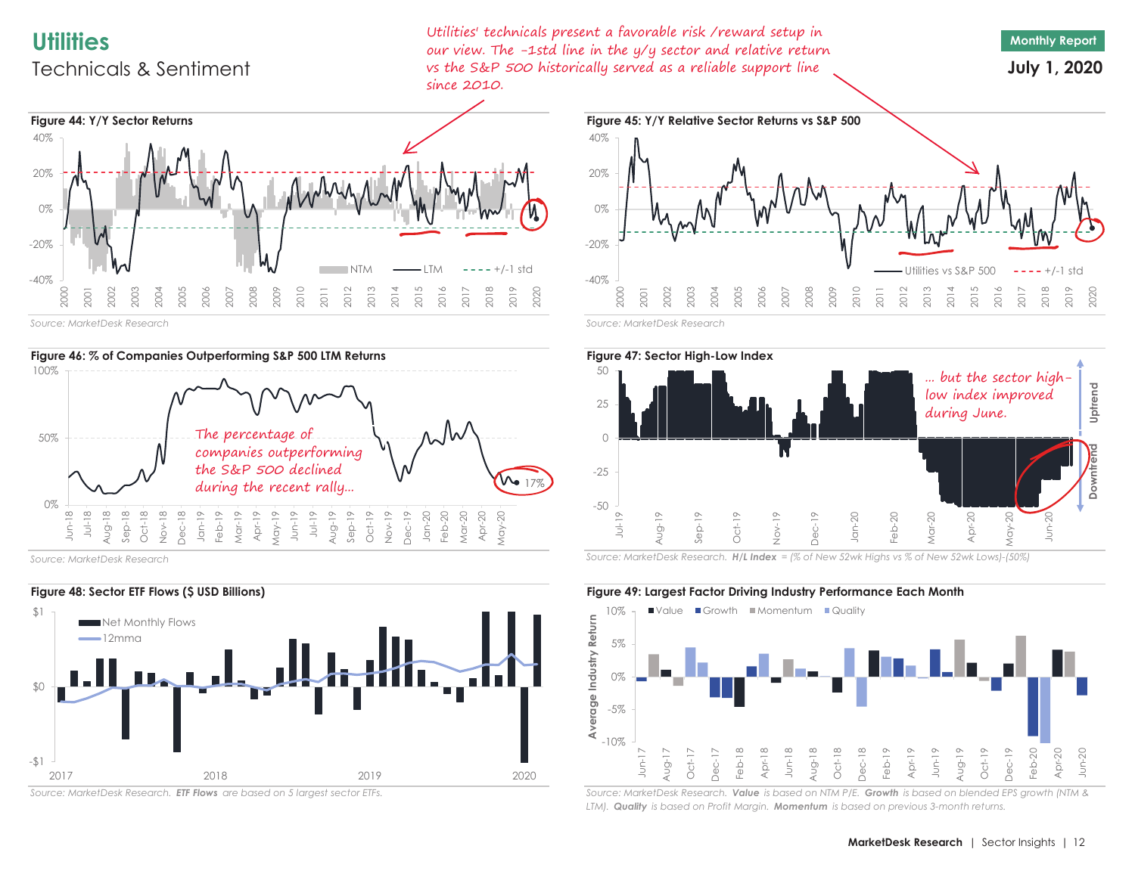# **Utilities**Technicals & Sentiment

Utilities' technicals present a favorable risk /reward setup in our view. The -1std line in the y/y sector and relative return vs the S&P 500 historically served as a reliable support line since 2010.



**July 1, 2020**



*Source: MarketDesk Research*



*Source: MarketDesk Research*



*Source: MarketDesk Research. ETF Flows are based on 5 largest sector ETFs.*





*Source: MarketDesk Research. H/L Index = (% of New 52wk Highs vs % of New 52wk Lows)-(50%)*



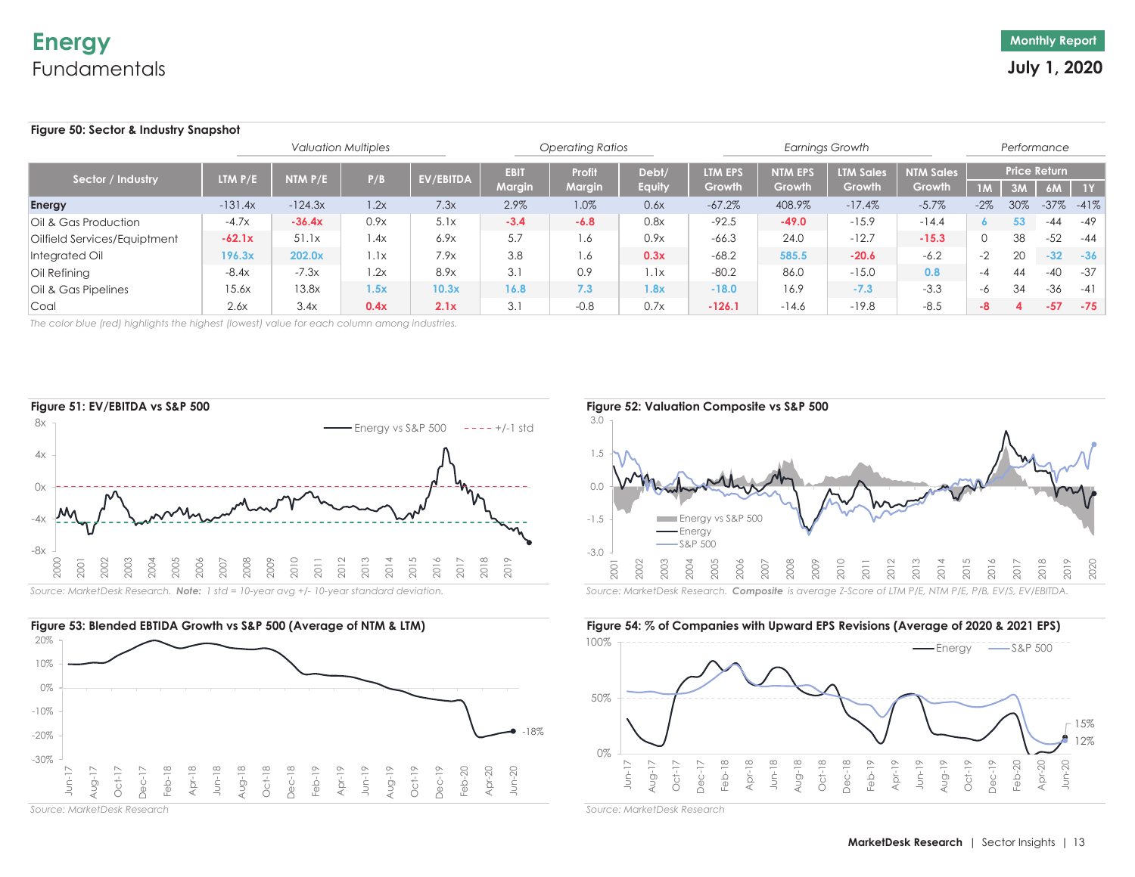## **Figure 50: Sector & Industry Snapshot**

| <b>Valuation Multiples</b>   |           |           |      |           |                              | <b>Operating Ratios</b> |                 |                          |                          | <b>Earnings Growth</b>            |                            |        |     | Performance               |               |
|------------------------------|-----------|-----------|------|-----------|------------------------------|-------------------------|-----------------|--------------------------|--------------------------|-----------------------------------|----------------------------|--------|-----|---------------------------|---------------|
| Sector / Industry            | LTM P/E   | NTM $P/E$ | P/B  | EV/EBITDA | <b>EBIT</b><br><b>Margin</b> | Profit<br>Margin        | Debt/<br>Equity | <b>LTM EPS</b><br>Growth | <b>NTM EPS</b><br>Growth | <b>LTM Sales</b><br><b>Growth</b> | <b>NTM Sales</b><br>Growth | 1M     | 3M  | <b>Price Return</b><br>6M | 1Y            |
| Energy                       | $-131.4x$ | $-124.3x$ | 1.2x | 7.3x      | 2.9%                         | 1.0%                    | 0.6x            | $-67.2\%$                | 408.9%                   | $-17.4%$                          | $-5.7\%$                   | $-2\%$ | 30% |                           | $-37\% -41\%$ |
| Oil & Gas Production         | $-4.7x$   | $-36.4x$  | 0.9x | 5.1x      | $-3.4$                       | $-6.8$                  | 0.8x            | $-92.5$                  | $-49.0$                  | $-15.9$                           | $-14.4$                    |        | 53  | $-44$                     | $-49$         |
| Oilfield Services/Equiptment | $-62.1x$  | 51.1x     | 1.4x | 6.9x      | 5.7                          | 1.6                     | 0.9x            | $-66.3$                  | 24.0                     | $-12.7$                           | $-15.3$                    |        | 38  | -52                       | -44           |
| Integrated Oil               | 196.3x    | 202.0x    | 1.1x | 7.9x      | 3.8                          | 1.6                     | 0.3x            | $-68.2$                  | 585.5                    | $-20.6$                           | $-6.2$                     | $-2$   | 20  | $-32$                     | $-36$         |
| Oil Refining                 | $-8.4x$   | $-7.3x$   | .2x  | 8.9x      | 3.1                          | 0.9                     | 1.1x            | $-80.2$                  | 86.0                     | $-15.0$                           | 0.8                        | -4     | 44  | $-40$                     | -37           |
| Oil & Gas Pipelines          | 15.6x     | 13.8x     | 1.5x | 10.3x     | 16.8                         | 7.3                     | 1.8x            | $-18.0$                  | 16.9                     | $-7.3$                            | $-3.3$                     | -6     | 34  | $-36$                     | $-41$         |
| Coal                         | 2.6x      | 3.4x      | 0.4x | 2.1x      | 3.1                          | $-0.8$                  | 0.7x            | $-126.1$                 | $-14.6$                  | $-19.8$                           | $-8.5$                     | -8     |     | $-57$                     | $-75$         |

*The color blue (red) highlights the highest (lowest) value for each column among industries.*





*Source: MarketDesk Research*



15% 12%0%50%100%Jun-17 Aug-17 Oct-17 Dec-17 Feb-18 Apr-18 Jun-18 Aug-18 Oct-18 Dec-18 Feb-19 Apr-19 Jun-19 Aug-19 Oct-19 Dec-19 Feb-20 Apr-20 Jun-20  $-$ Energy  $-$ S&P 500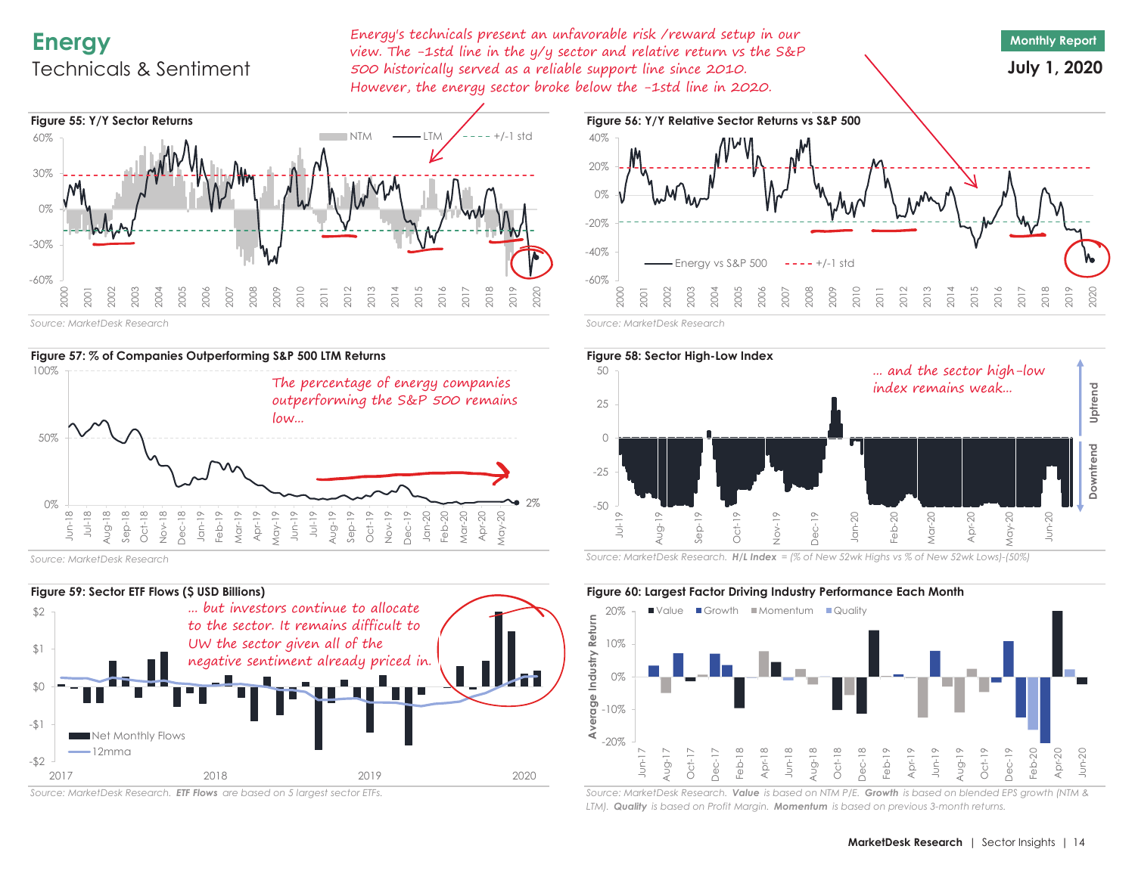# **Energy** Technicals & Sentiment

Energy's technicals present an unfavorable risk /reward setup in our view. The -1std line in the y/y sector and relative return vs the S&P 500 historically served as a reliable support line since 2010. However, the energy sector broke below the -1std line in 2020.

# **July 1, 2020**



*Source: MarketDesk Research*



*Source: MarketDesk Research*



*Source: MarketDesk Research. ETF Flows are based on 5 largest sector ETFs.*





*Source: MarketDesk Research. H/L Index = (% of New 52wk Highs vs % of New 52wk Lows)-(50%)*

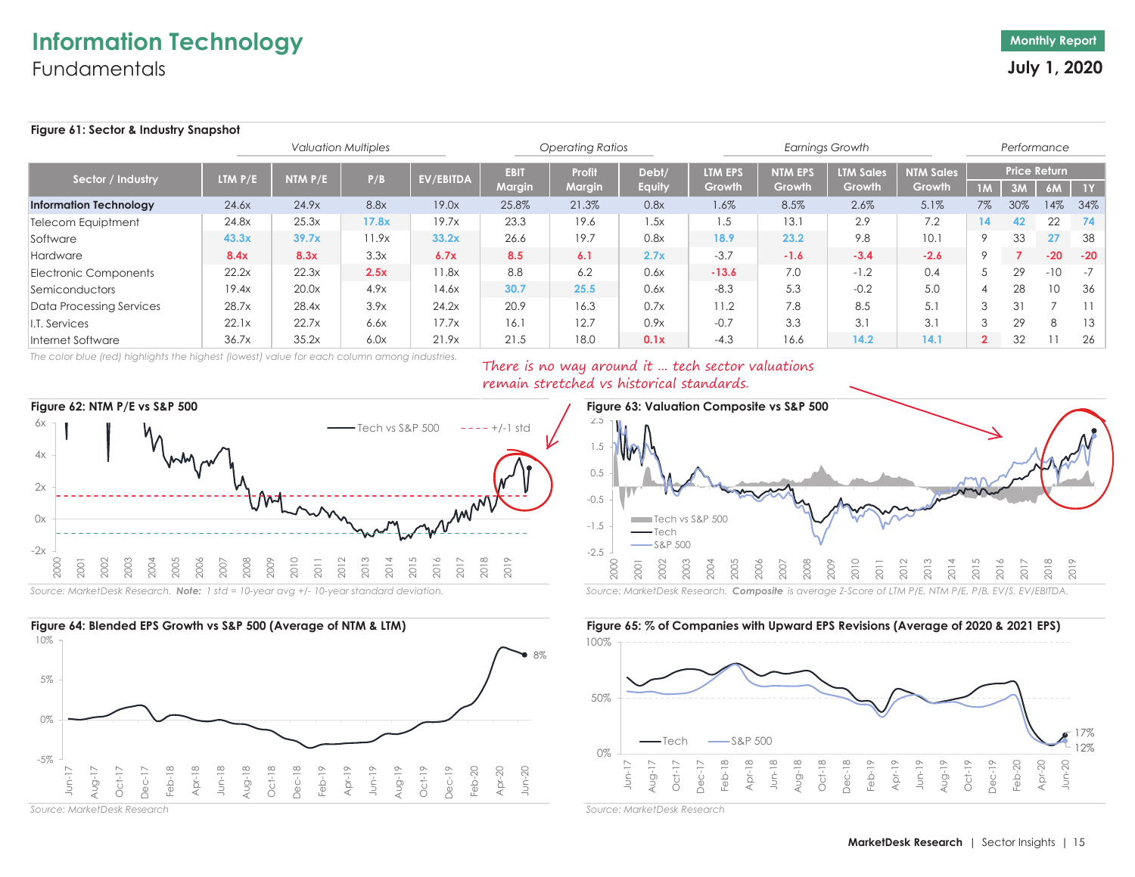# **Information Technology Fundamentals**

## **Figure 61: Sector & Industry Snapshot**

|                               |                             |           | <b>Valuation Multiples</b> |                  |               | <b>Operating Ratios</b> |               |         |                | <b>Earnings Growth</b> |                  |                | Performance |                     |       |
|-------------------------------|-----------------------------|-----------|----------------------------|------------------|---------------|-------------------------|---------------|---------|----------------|------------------------|------------------|----------------|-------------|---------------------|-------|
| Sector / Industry             | <b>LTM <math>P/E</math></b> | NTM $P/E$ | P/B                        | <b>EV/EBITDA</b> | <b>EBIT</b>   | Profit                  | Debt/         | LTM EPS | <b>NTM EPS</b> | <b>LTM Sales</b>       | <b>NTM Sales</b> |                |             | <b>Price Return</b> |       |
|                               |                             |           |                            |                  | <b>Margin</b> | <b>Margin</b>           | <b>Equity</b> | Growth  | Growth         | Growth                 | Growth           | 1M             | 3M          | 6M                  | 1Y    |
| <b>Information Technology</b> | 24.6x                       | 24.9x     | 8.8x                       | 19.0x            | 25.8%         | 21.3%                   | 0.8x          | 1.6%    | 8.5%           | 2.6%                   | 5.1%             | $7\%$          | 30%         | 14%                 | 34%   |
| <b>Telecom Equiptment</b>     | 24.8x                       | 25.3x     | 17.8x                      | 19.7x            | 23.3          | 19.6                    | 1.5x          | 1.5     | 13.1           | 2.9                    | 7.2              | 14             | 42          | 22                  | 74    |
| Software                      | 43.3x                       | 39.7x     | 11.9x                      | 33.2x            | 26.6          | 19.7                    | 0.8x          | 18.9    | 23.2           | 9.8                    | 10.1             | $\circ$        | 33          | 27                  | -38   |
| Hardware                      | 8.4x                        | 8.3x      | 3.3x                       | 6.7x             | 8.5           | 6.1                     | 2.7x          | $-3.7$  | $-1.6$         | $-3.4$                 | $-2.6$           |                |             | $-20$               | $-20$ |
| Electronic Components         | 22.2x                       | 22.3x     | 2.5x                       | 11.8x            | 8.8           | 6.2                     | 0.6x          | $-13.6$ | 7.0            | $-1.2$                 | 0.4              |                | 29          | $-10$               | $-7$  |
| Semiconductors                | 19.4x                       | 20.0x     | 4.9x                       | 14.6x            | 30.7          | 25.5                    | 0.6x          | $-8.3$  | 5.3            | $-0.2$                 | 5.0              |                | 28          | 10                  | 36    |
| Data Processing Services      | 28.7x                       | 28.4x     | 3.9x                       | 24.2x            | 20.9          | 16.3                    | 0.7x          | 11.2    | 7.8            | 8.5                    | 5.1              | 3              | 31          |                     |       |
| T. Services                   | 22.1x                       | 22.7x     | 6.6x                       | 17.7x            | 16.1          | 12.7                    | 0.9x          | $-0.7$  | 3.3            | 3.1                    | 3.1              | $\Omega$       | 29          | R                   | 13    |
| Internet Software             | 36.7x                       | 35.2x     | 6.0x                       | 21.9x            | 21.5          | 18.0                    | 0.1x          | $-4.3$  | 16.6           | 14.2                   | 14.1             | $\overline{2}$ | 32          |                     | 26    |

*The color blue (red) highlights the highest (lowest) value for each column among industries.*

# There is no way around it ... tech sector valuations remain stretched vs historical standards.





*Source: MarketDesk Research*



100%

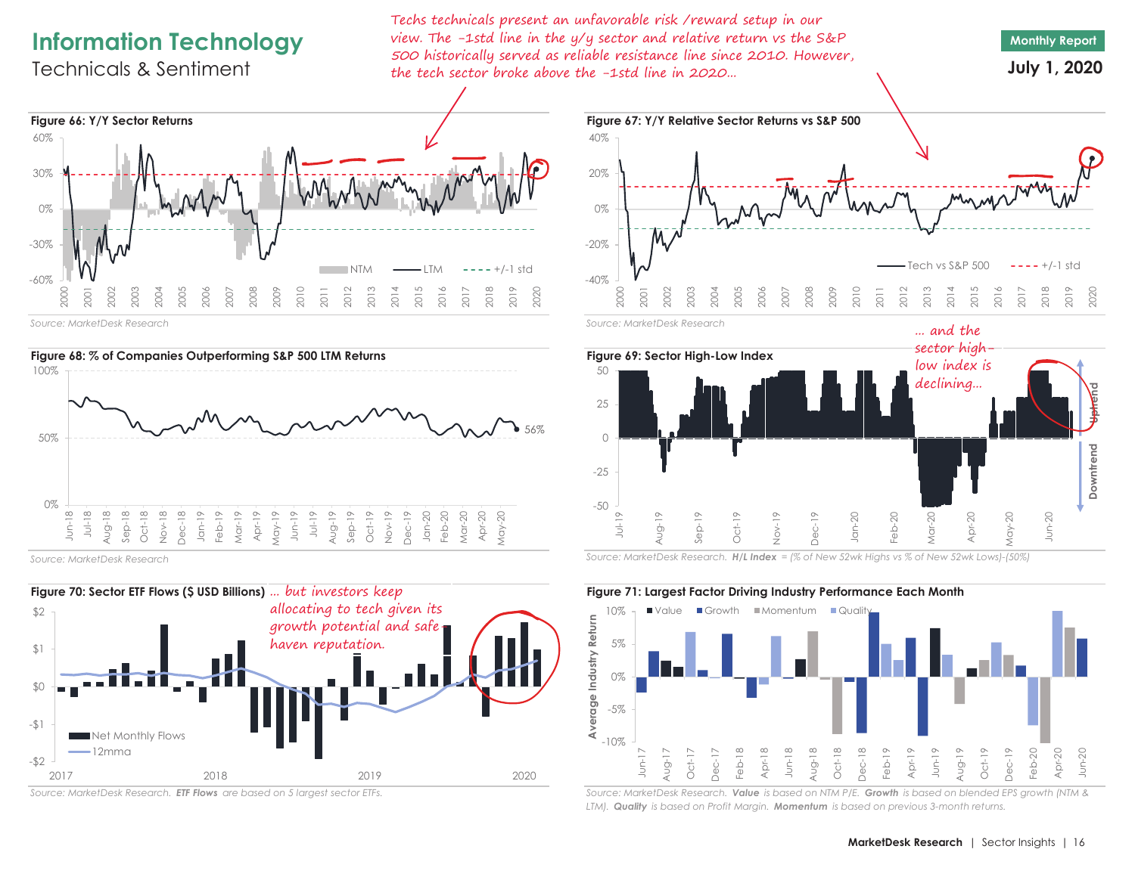# **Information Technology**

Technicals & Sentiment

Techs technicals present an unfavorable risk /reward setup in our view. The -1std line in the y/y sector and relative return vs the S&P 500 historically served as reliable resistance line since 2010. However, the tech sector broke above the -1std line in 2020...





*Source: MarketDesk Research*



*Source: MarketDesk Research. ETF Flows are based on 5 largest sector ETFs.*



**Monthly Report July 1, 2020**





*Source: MarketDesk Research. H/L Index = (% of New 52wk Highs vs % of New 52wk Lows)-(50%)*



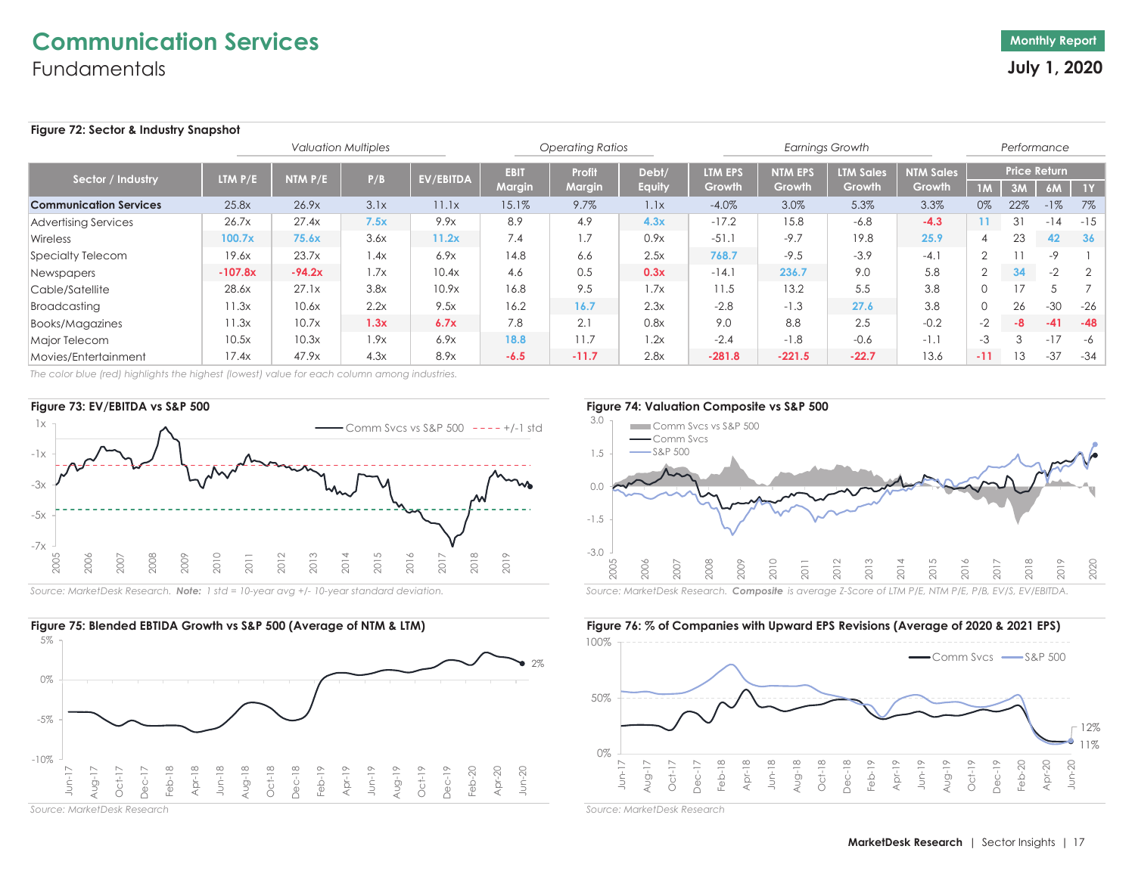# **Communication Services Fundamentals**

## **Figure 72: Sector & Industry Snapshot**

|                               |                             |           | <b>Operating Ratios</b> |                  |                       |                  | <b>Earnings Growth</b> |                   |                          |                            | Performance                |                |     |                           |             |
|-------------------------------|-----------------------------|-----------|-------------------------|------------------|-----------------------|------------------|------------------------|-------------------|--------------------------|----------------------------|----------------------------|----------------|-----|---------------------------|-------------|
| Sector / Industry             | <b>LTM <math>P/E</math></b> | NTM $P/E$ | P/B                     | <b>EV/EBITDA</b> | <b>EBIT</b><br>Margin | Profit<br>Margin | Debt/<br><b>Equity</b> | LTM EPS<br>Growth | <b>NTM EPS</b><br>Growth | <b>LTM Sales</b><br>Growth | <b>NTM Sales</b><br>Growth | 1M             | 3M  | <b>Price Return</b><br>6M | $\sqrt{1Y}$ |
| <b>Communication Services</b> | 25.8x                       | 26.9x     | 3.1x                    | 11.1x            | 15.1%                 | 9.7%             | 1.1x                   | $-4.0%$           | 3.0%                     | 5.3%                       | 3.3%                       | 0%             | 22% | $-1%$                     | 7%          |
| <b>Advertising Services</b>   | 26.7x                       | 27.4x     | 7.5x                    | 9.9x             | 8.9                   | 4.9              | 4.3x                   | $-17.2$           | 15.8                     | $-6.8$                     | $-4.3$                     | 11             | 31  | $-14$                     | $-15$       |
| Wireless                      | 100.7x                      | 75.6x     | 3.6x                    | 11.2x            | 7.4                   | 1.7              | 0.9x                   | $-51.1$           | $-9.7$                   | 19.8                       | 25.9                       |                | 23  | 42                        | 36          |
| <b>Specialty Telecom</b>      | 19.6x                       | 23.7x     | 1.4x                    | 6.9x             | 14.8                  | 6.6              | 2.5x                   | 768.7             | $-9.5$                   | $-3.9$                     | $-4.1$                     | $\overline{2}$ |     | -9                        |             |
| Newspapers                    | $-107.8x$                   | $-94.2x$  | 1.7x                    | 10.4x            | 4.6                   | 0.5              | 0.3x                   | $-14.1$           | 236.7                    | 9.0                        | 5.8                        | $\sim$         | 34  | $-2$                      | 2           |
| Cable/Satellite               | 28.6x                       | 27.1x     | 3.8x                    | 10.9x            | 16.8                  | 9.5              | 1.7x                   | 11.5              | 13.2                     | 5.5                        | 3.8                        | $\Omega$       | 17  |                           |             |
| Broadcasting                  | 11.3x                       | 10.6x     | 2.2x                    | 9.5x             | 16.2                  | 16.7             | 2.3x                   | $-2.8$            | $-1.3$                   | 27.6                       | 3.8                        | $\Omega$       | 26  | $-30$                     | -26         |
| Books/Magazines               | 1.3x                        | 10.7x     | 1.3x                    | 6.7x             | 7.8                   | 2.1              | 0.8x                   | 9.0               | 8.8                      | 2.5                        | $-0.2$                     | $-2$           | -8  | $-41$                     | $-48$       |
| Major Telecom                 | 10.5x                       | 10.3x     | 1.9x                    | 6.9x             | 18.8                  | 11.7             | 1.2x                   | $-2.4$            | $-1.8$                   | $-0.6$                     | $-1.1$                     | $-3$           | 3   | $-17$                     | -6          |
| Movies/Entertainment          | 17.4x                       | 47.9x     | 4.3x                    | 8.9x             | $-6.5$                | $-11.7$          | 2.8x                   | $-281.8$          | $-221.5$                 | $-22.7$                    | 13.6                       | $-11$          | 13  | $-37$                     | $-34$       |

*The color blue (red) highlights the highest (lowest) value for each column among industries.*







*Source: MarketDesk Research*





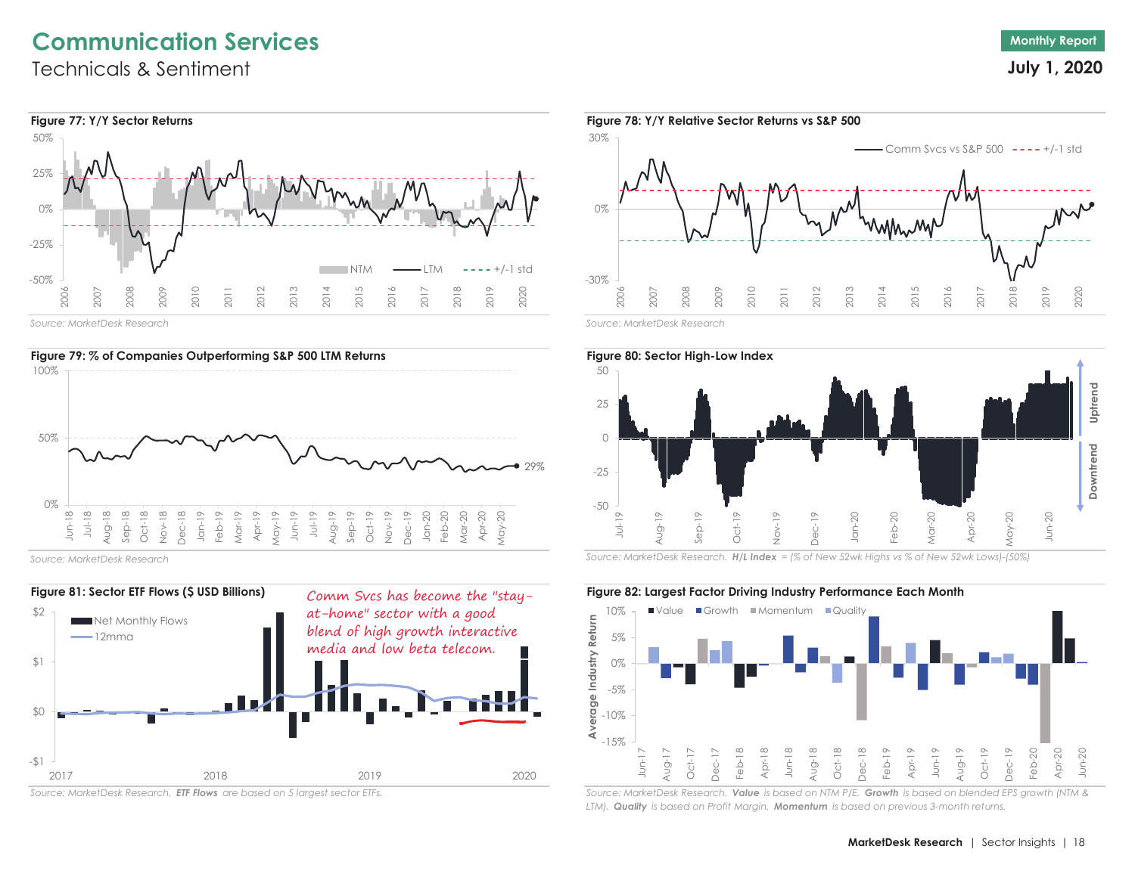# **Communication Services**

Technicals & Sentiment



*Source: MarketDesk Research*



*Source: MarketDesk Research*



*Source: MarketDesk Research. ETF Flows are based on 5 largest sector ETFs.*





*Source: MarketDesk Research*



*Source: MarketDesk Research. H/L Index = (% of New 52wk Highs vs % of New 52wk Lows)-(50%)*

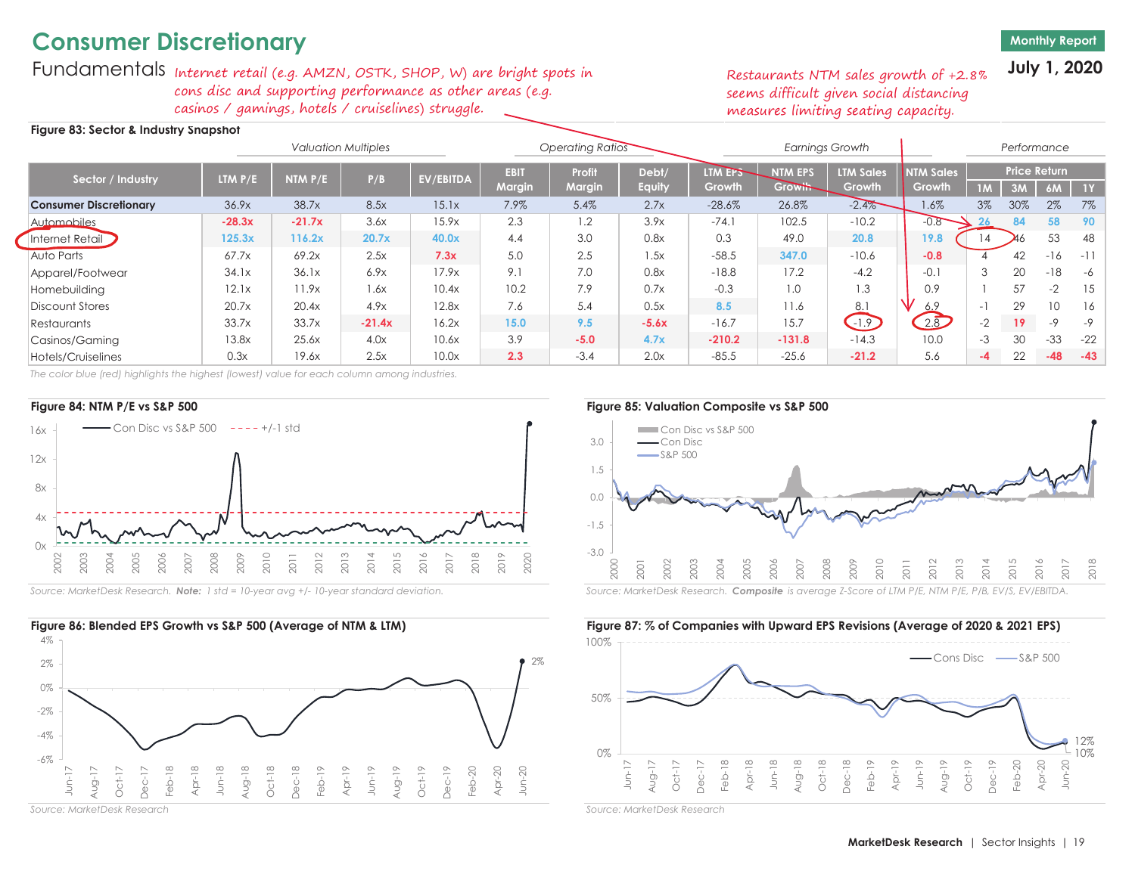# **Consumer Discretionary**

## **Monthly Report**

**July 1, 2020**

Fundamentals Internet retail (e.g. AMZN, OSTK, SHOP, W) are bright spots in cons disc and supporting performance as other areas (e.g. casinos / gamings, hotels / cruiselines) struggle.

## **Figure 83: Sector & Industry Snapshot**

Restaurants NTM sales growth of +2.8% seems difficult given social distancing measures limiting seating capacity.

|                               |           | <b>Valuation Multiples</b> |          |           |                              | <b>Operating Ratios</b>        |                 |                          |                                  | <b>Earnings Growth</b>     |                            |          | Performance |                                  |             |
|-------------------------------|-----------|----------------------------|----------|-----------|------------------------------|--------------------------------|-----------------|--------------------------|----------------------------------|----------------------------|----------------------------|----------|-------------|----------------------------------|-------------|
| Sector / Industry             | LTM $P/E$ | NTM $P/E$                  | P/B      | EV/EBITDA | <b>EBIT</b><br><b>Margin</b> | <b>Profit</b><br><b>Margin</b> | Debt/<br>Equity | <b>LTM EPS</b><br>Growth | <b>NTM EPS</b><br><b>Growth-</b> | <b>LTM Sales</b><br>Growth | <b>NTM Sales</b><br>Growth | 1M       | 3M          | <b>Price Return</b><br><b>6M</b> | $\sqrt{11}$ |
| <b>Consumer Discretionary</b> | 36.9x     | 38.7x                      | 8.5x     | 15.1x     | 7.9%                         | 5.4%                           | 2.7x            | $-28.6%$                 | 26.8%                            | $-2.4%$                    | $1.6\%$                    | 3%       | 30%         | 2%                               | 7%          |
| Automobiles                   | $-28.3x$  | $-21.7x$                   | 3.6x     | 15.9x     | 2.3                          | 1.2                            | 3.9x            | $-74.1$                  | 102.5                            | $-10.2$                    | $-0.8$                     | 26       | 84          | 58                               | -90         |
| Internet Retail               | 125.3x    | 116.2x                     | 20.7x    | 40.0x     | 4.4                          | 3.0                            | 0.8x            | 0.3                      | 49.0                             | 20.8                       | 19.8                       | 14       |             | 53                               | 48          |
| Auto Parts                    | 67.7x     | 69.2x                      | 2.5x     | 7.3x      | 5.0                          | 2.5                            | .5x             | $-58.5$                  | 347.0                            | $-10.6$                    | $-0.8$                     |          | 42          | $-16$                            | $-11$       |
| Apparel/Footwear              | 34.1x     | 36.1x                      | 6.9x     | 17.9x     | 9.1                          | 7.0                            | 0.8x            | $-18.8$                  | 17.2                             | $-4.2$                     | $-0.1$                     | 3        | 20          | $-18$                            | -6          |
| Homebuilding                  | 12.1x     | 11.9x                      | 1.6x     | 10.4x     | 10.2                         | 7.9                            | 0.7x            | $-0.3$                   | 1.0                              | 1.3                        | 0.9                        |          | 57          | $-2$                             | -15         |
| Discount Stores               | 20.7x     | 20.4x                      | 4.9x     | 12.8x     | 7.6                          | 5.4                            | 0.5x            | 8.5                      | 11.6                             | 8.1                        | 6.9                        | $\sim$ 1 | 29          |                                  | 16          |
| Restaurants                   | 33.7x     | 33.7x                      | $-21.4x$ | 16.2x     | 15.0                         | 9.5                            | $-5.6x$         | $-16.7$                  | 15.7                             | $-1.9$                     | 2.8                        | $-2$     | 19          | $-9$                             | $-9$        |
| Casinos/Gaming                | 13.8x     | 25.6x                      | 4.0x     | 10.6x     | 3.9                          | $-5.0$                         | 4.7x            | $-210.2$                 | $-131.8$                         | $-14.3$                    | 10.0                       | $-3$     | 30          | $-33$                            | $-22$       |
| Hotels/Cruiselines            | 0.3x      | 19.6x                      | 2.5x     | 10.0x     | 2.3                          | $-3.4$                         | 2.0x            | $-85.5$                  | $-25.6$                          | $-21.2$                    | 5.6                        | -4       | 22          | $-48$                            | $-43$       |

*The color blue (red) highlights the highest (lowest) value for each column among industries.*





*Source: MarketDesk Research*

3.0Con Disc vs S&P 500 Con DiscS&P 500



Source: MarketDesk Research. Note: 1 std = 10-year avg +/- 10-year standard deviation. Source: MarketDesk Research. Composite is average Z-Score of LTM P/E, NTM P/E, P/B, EV/S, EV/EBITDA.

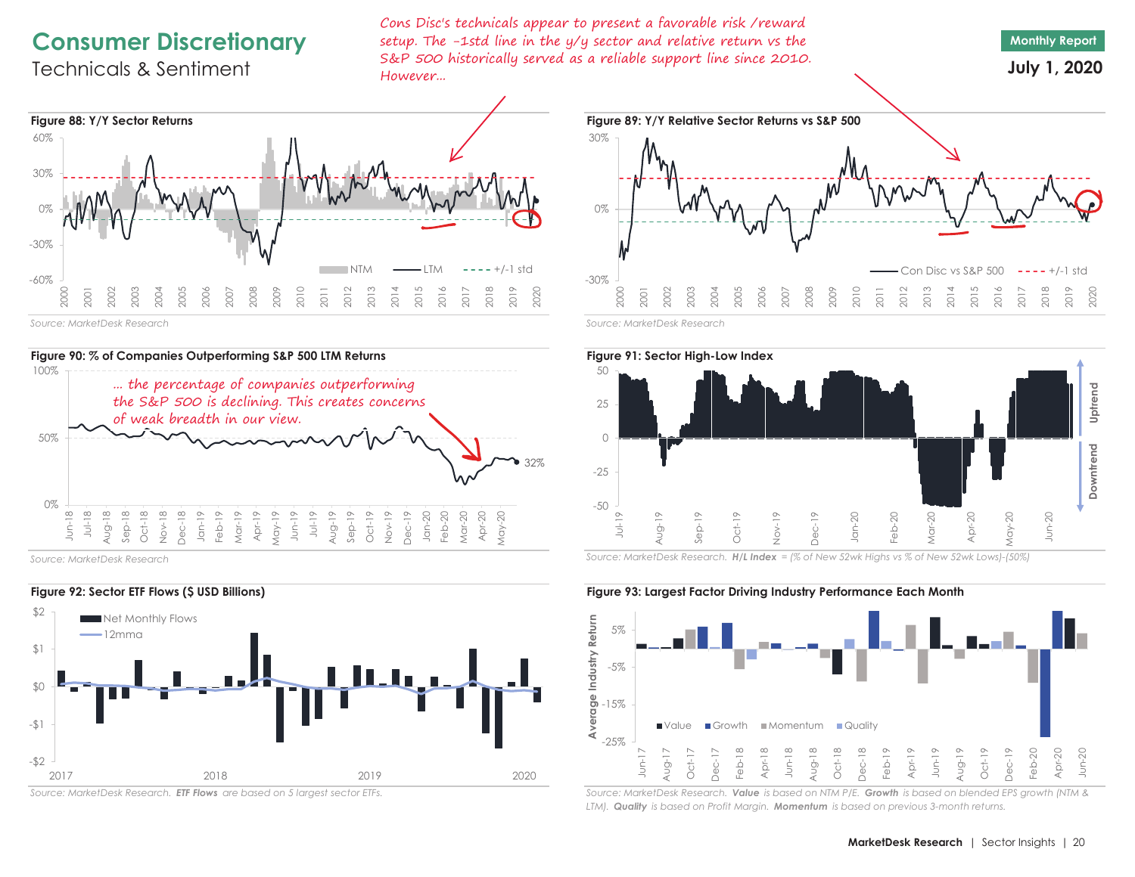# **Consumer Discretionary**

# Technicals & Sentiment

Cons Disc's technicals appear to present a favorable risk /reward setup. The -1std line in the y/y sector and relative return vs the S&P 500 historically served as a reliable support line since 2010. However...







*Source: MarketDesk Research*



*Source: MarketDesk Research. ETF Flows are based on 5 largest sector ETFs.*





*Source: MarketDesk Research. H/L Index = (% of New 52wk Highs vs % of New 52wk Lows)-(50%)*

**Figure 92: Sector ETF Flows (\$ USD Billions) Figure 93: Largest Factor Driving Industry Performance Each Month**

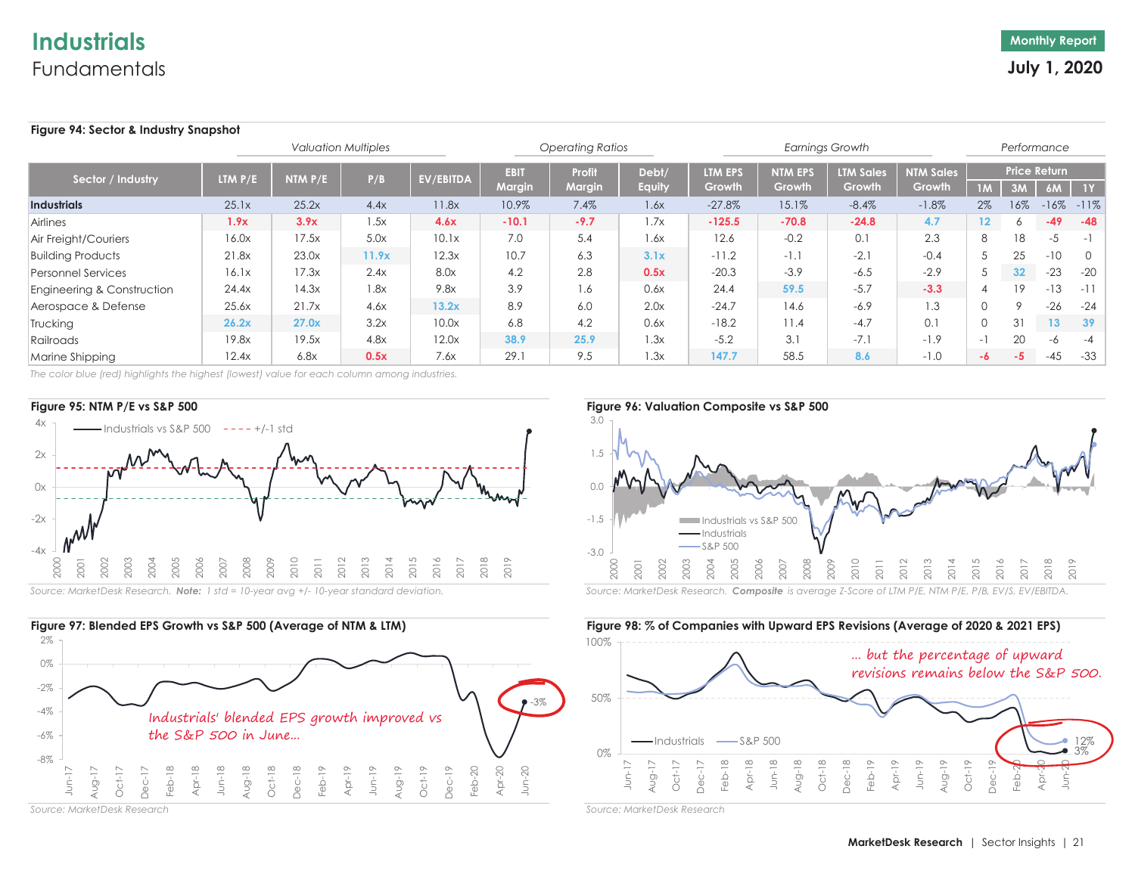# **Industrials**Fundamentals

## **Figure 94: Sector & Industry Snapshot**

|                            |                             | <b>Operating Ratios</b> |       |                  |                       | <b>Earnings Growth</b>  |                        |                   |                          | Performance                |                            |                   |                 |                                  |               |
|----------------------------|-----------------------------|-------------------------|-------|------------------|-----------------------|-------------------------|------------------------|-------------------|--------------------------|----------------------------|----------------------------|-------------------|-----------------|----------------------------------|---------------|
| Sector / Industry          | <b>LTM <math>P/E</math></b> | NTM $P/E$               | P/B   | <b>EV/EBITDA</b> | <b>EBIT</b><br>Margin | <b>Profit</b><br>Margin | Debt/<br><b>Equity</b> | LTM EPS<br>Growth | <b>NTM EPS</b><br>Growth | <b>LTM Sales</b><br>Growth | <b>NTM Sales</b><br>Growth | 1M                | 3M              | <b>Price Return</b><br><b>6M</b> | $-1Y$         |
| <b>Industrials</b>         | 25.1x                       | 25.2x                   | 4.4x  | 11.8x            | 10.9%                 | 7.4%                    | 1.6x                   | $-27.8%$          | 15.1%                    | $-8.4%$                    | $-1.8%$                    | 2%                | 16%             |                                  | $-16\% -11\%$ |
| Airlines                   | 1.9x                        | 3.9x                    | 1.5x  | 4.6x             | $-10.1$               | $-9.7$                  | 1.7x                   | $-125.5$          | $-70.8$                  | $-24.8$                    | 4.7                        | $12 \overline{ }$ | 6.              | $-49$                            | $-48$         |
| Air Freight/Couriers       | 16.0x                       | 17.5x                   | 5.0x  | 10.1x            | 7.0                   | 5.4                     | 1.6x                   | 12.6              | $-0.2$                   | 0.1                        | 2.3                        | 8                 | 18              | $-5$                             | $-1$          |
| <b>Building Products</b>   | 21.8x                       | 23.0x                   | 11.9x | 12.3x            | 10.7                  | 6.3                     | 3.1x                   | $-11.2$           | $-1.1$                   | $-2.1$                     | $-0.4$                     |                   | 25              | $-10$                            | $\Omega$      |
| <b>Personnel Services</b>  | 16.1x                       | 17.3x                   | 2.4x  | 8.0x             | 4.2                   | 2.8                     | 0.5x                   | $-20.3$           | $-3.9$                   | $-6.5$                     | $-2.9$                     |                   | 32 <sub>2</sub> | $-23$                            | $-20$         |
| Engineering & Construction | 24.4x                       | 14.3x                   | .8x   | 9.8x             | 3.9                   | 1.6                     | 0.6x                   | 24.4              | 59.5                     | $-5.7$                     | $-3.3$                     |                   | 19              | $-13$                            | $-11$         |
| Aerospace & Defense        | 25.6x                       | 21.7x                   | 4.6x  | 13.2x            | 8.9                   | 6.0                     | 2.0x                   | $-24.7$           | 14.6                     | $-6.9$                     | 1.3                        | $\Omega$          |                 | $-26$                            | $-24$         |
| Trucking                   | 26.2x                       | 27.0x                   | 3.2x  | 10.0x            | 6.8                   | 4.2                     | 0.6x                   | $-18.2$           | 11.4                     | $-4.7$                     | 0.1                        |                   | 31              | 13                               | 39            |
| Railroads                  | 19.8x                       | 19.5x                   | 4.8x  | 12.0x            | 38.9                  | 25.9                    | 1.3x                   | $-5.2$            | 3.1                      | $-7.1$                     | $-1.9$                     | $-1$              | 20              | -6                               | $-4$          |
| Marine Shipping            | 12.4x                       | 6.8x                    | 0.5x  | 7.6x             | 29.1                  | 9.5                     | 1.3x                   | 147.7             | 58.5                     | 8.6                        | $-1.0$                     | -6                | $-5$            | $-45$                            | $-33$         |

*The color blue (red) highlights the highest (lowest) value for each column among industries.*





*Source: MarketDesk Research*

-3.0-1.5 0.01.5 3.0 2000 2001 2002 2003 2004 2005 2006 2007 2008 2009 2010 2011 2012 2013 2014 2015 2016 2017 2018 2019 Industrials vs S&P 500 Industrials S&P 500

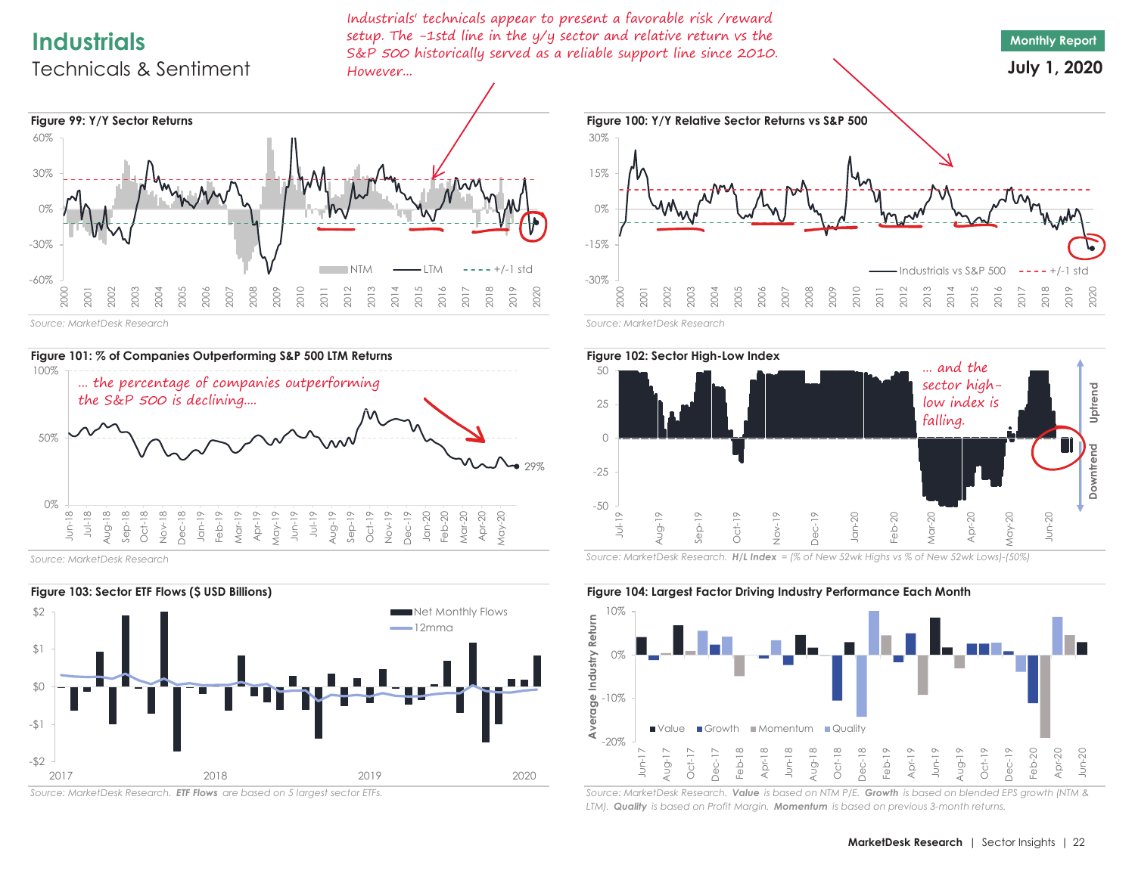# **Industrials**

# Technicals & Sentiment

Industrials' technicals appear to present a favorable risk /reward setup. The -1std line in the y/y sector and relative return vs the S&P 500 historically served as a reliable support line since 2010. However...







*Source: MarketDesk Research*



*Source: MarketDesk Research. ETF Flows are based on 5 largest sector ETFs.*





*Source: MarketDesk Research. H/L Index = (% of New 52wk Highs vs % of New 52wk Lows)-(50%)*



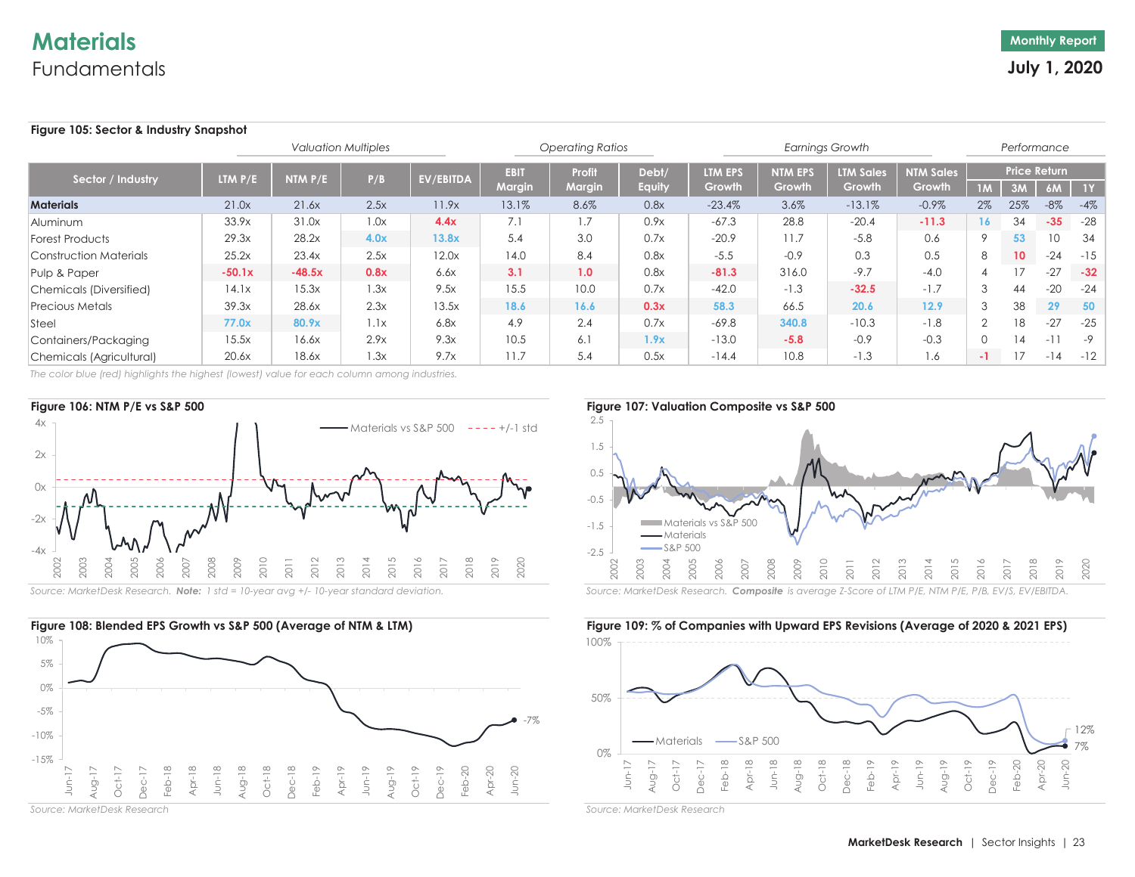# **Materials**Fundamentals

## **Figure 105: Sector & Industry Snapshot**

|                                |                             |          | <b>Valuation Multiples</b> |                  |                       | <b>Operating Ratios</b>        |                        |                   |                          | <b>Earnings Growth</b>     |                                                           |                | Performance     |                           |             |
|--------------------------------|-----------------------------|----------|----------------------------|------------------|-----------------------|--------------------------------|------------------------|-------------------|--------------------------|----------------------------|-----------------------------------------------------------|----------------|-----------------|---------------------------|-------------|
| Sector / Industry              | <b>LTM <math>P/E</math></b> | NTM P/E  | P/B                        | <b>EV/EBITDA</b> | <b>EBIT</b><br>Margin | <b>Profit</b><br><b>Margin</b> | Debt/<br><b>Equity</b> | LTM EPS<br>Growth | <b>NTM EPS</b><br>Growth | <b>LTM Sales</b><br>Growth | $\overline{\mathsf{NIM}}$ Sales $^{\mathsf{i}}$<br>Growth | 1M             | 3M              | <b>Price Return</b><br>6M | $\sqrt{11}$ |
| <b>Materials</b>               | 21.0x                       | 21.6x    | 2.5x                       | 11.9x            | 13.1%                 | 8.6%                           | 0.8x                   | $-23.4%$          | 3.6%                     | $-13.1%$                   | $-0.9%$                                                   | $2\%$          | 25%             | $-8\%$                    | $-4%$       |
| Aluminum                       | 33.9x                       | 31.0x    | 1.0x                       | 4.4x             | 7.1                   | 1.7                            | 0.9x                   | $-67.3$           | 28.8                     | $-20.4$                    | $-11.3$                                                   | <b>16</b>      | 34              | $-35$                     | $-28$       |
| <b>Forest Products</b>         | 29.3x                       | 28.2x    | 4.0x                       | 13.8x            | 5.4                   | 3.0                            | 0.7x                   | $-20.9$           | 11.7                     | $-5.8$                     | 0.6                                                       | $\mathsf{Q}$   | 53              | 10                        | 34          |
| <b>Construction Materials</b>  | 25.2x                       | 23.4x    | 2.5x                       | 12.0x            | 14.0                  | 8.4                            | 0.8x                   | $-5.5$            | $-0.9$                   | 0.3                        | 0.5                                                       | 8              | 10 <sup>°</sup> | $-24$                     | -15         |
| Pulp & Paper                   | $-50.1x$                    | $-48.5x$ | 0.8x                       | 6.6x             | 3.1                   | 1.0                            | 0.8x                   | $-81.3$           | 316.0                    | $-9.7$                     | $-4.0$                                                    |                | 17              | $-27$                     | $-32$       |
| <b>Chemicals (Diversified)</b> | 14.1x                       | 15.3x    | 1.3x                       | 9.5x             | 15.5                  | 10.0                           | 0.7x                   | $-42.0$           | $-1.3$                   | $-32.5$                    | $-1.7$                                                    | 3              | 44              | $-20$                     | $-24$       |
| <b>Precious Metals</b>         | 39.3x                       | 28.6x    | 2.3x                       | 13.5x            | 18.6                  | 16.6                           | 0.3x                   | 58.3              | 66.5                     | 20.6                       | 12.9                                                      | 3              | 38              | 29                        | 50          |
| Steel                          | 77.0x                       | 80.9x    | 1.1x                       | 6.8x             | 4.9                   | 2.4                            | 0.7x                   | $-69.8$           | 340.8                    | $-10.3$                    | $-1.8$                                                    | $\overline{2}$ | 18              | $-27$                     | $-25$       |
| Containers/Packaging           | 15.5x                       | 16.6x    | 2.9x                       | 9.3x             | 10.5                  | 6.1                            | 1.9x                   | $-13.0$           | $-5.8$                   | $-0.9$                     | $-0.3$                                                    | $\Omega$       | 14              | $-1$                      | $-9$        |
| Chemicals (Agricultural)       | 20.6x                       | 18.6x    | 1.3x                       | 9.7x             | 11.7                  | 5.4                            | 0.5x                   | $-14.4$           | 10.8                     | $-1.3$                     | 1.6                                                       | - 11           | 17              | $-14$                     | $-12$       |

*The color blue (red) highlights the highest (lowest) value for each column among industries.*







*Source: MarketDesk Research*

2.5





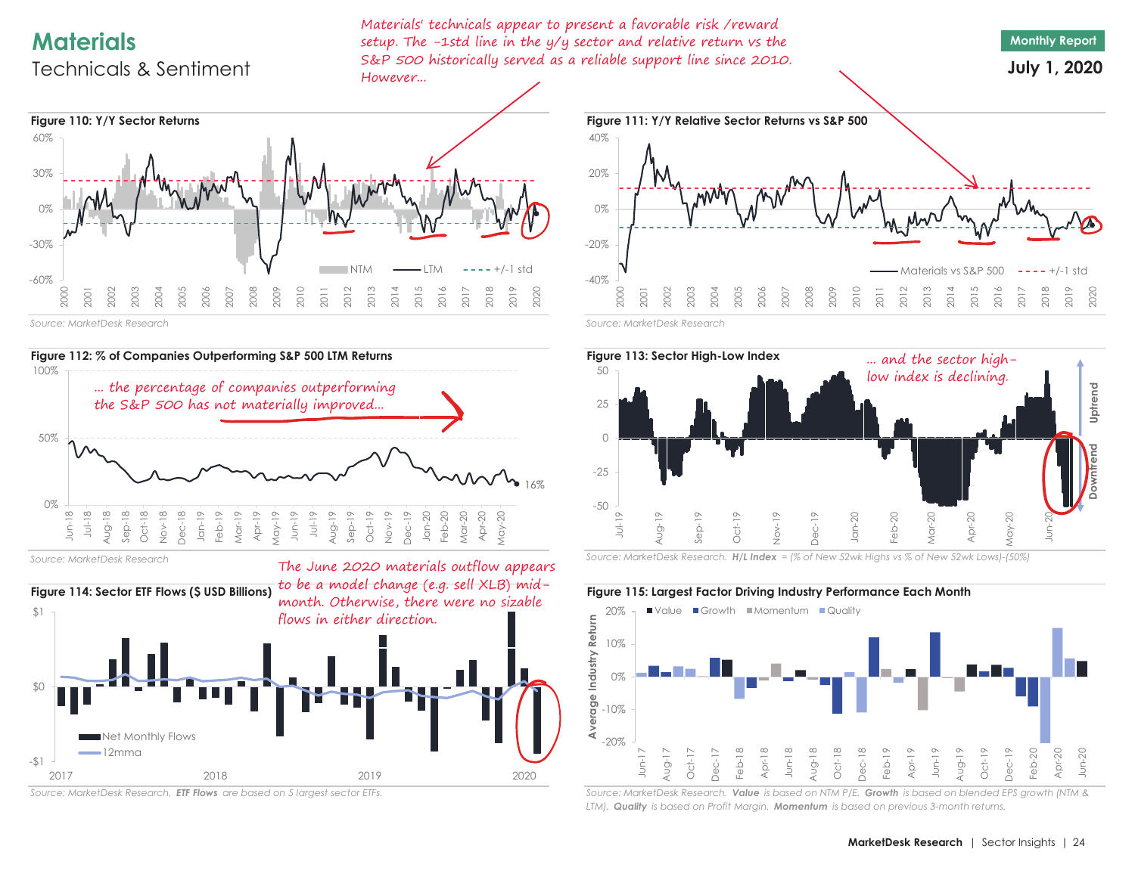# **Materials**

# Technicals & Sentiment

Materials' technicals appear to present a favorable risk /reward setup. The -1std line in the y/y sector and relative return vs the S&P 500 historically served as a reliable support line since 2010. However...





*Source: MarketDesk Research*



*Source: MarketDesk Research*



*Source: MarketDesk Research. ETF Flows are based on 5 largest sector ETFs.*





*Source: MarketDesk Research. H/L Index = (% of New 52wk Highs vs % of New 52wk Lows)-(50%)*



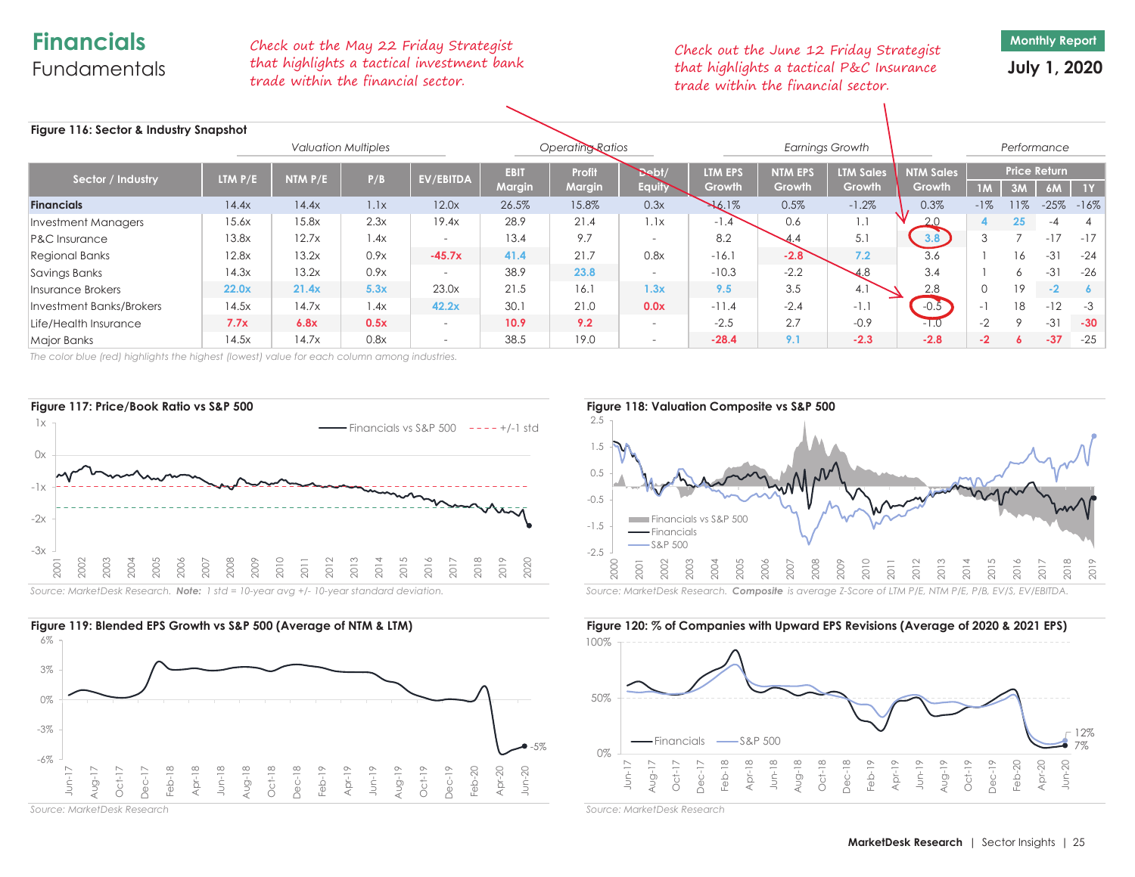# **Financials**Fundamentals

Check out the May 22 Friday Strategist that highlights a tactical investment bank trade within the financial sector.

Check out the June 12 Friday Strategist that highlights a tactical P&C Insurance trade within the financial sector.

**Monthly Report**

**July 1, 2020**

| Figure 116: Sector & Industry Snapshot |                             |         |      |                          |                              |                         |                          |                   |                                 |                                   |                            |          |             |                                  |        |  |  |
|----------------------------------------|-----------------------------|---------|------|--------------------------|------------------------------|-------------------------|--------------------------|-------------------|---------------------------------|-----------------------------------|----------------------------|----------|-------------|----------------------------------|--------|--|--|
| <b>Valuation Multiples</b>             |                             |         |      |                          | Operating Ratios             |                         |                          |                   | <b>Earnings Growth</b>          |                                   |                            |          | Performance |                                  |        |  |  |
| Sector / Industry                      | <b>LTM <math>P/E</math></b> | NTM P/E | P/B  | <b>EV/EBITDA</b>         | <b>EBIT</b><br><b>Margin</b> | Profit<br><b>Margin</b> | Det/<br><b>Equity</b>    | LTM EPS<br>Growth | <b>NTM EPS</b><br><b>Growth</b> | <b>LTM Sales</b><br><b>Growth</b> | <b>NTM Sales</b><br>Growth | 1M       | 3M          | <b>Price Return</b><br><b>6M</b> | 1Y     |  |  |
| <b>Financials</b>                      | 14.4x                       | 14.4x   | 1.1x | 12.0x                    | 26.5%                        | 15.8%                   | 0.3x                     | 16.1%             | 0.5%                            | $-1.2%$                           | 0.3%                       | $-1%$    | 11%         | $-25%$                           | $-16%$ |  |  |
| Investment Managers                    | 15.6x                       | 15.8x   | 2.3x | 19.4x                    | 28.9                         | 21.4                    | 1.1x                     | $-1.4$            | 0.6                             | 1.1                               |                            | 4        | 25          |                                  |        |  |  |
| <b>P&amp;C Insurance</b>               | 13.8x                       | 12.7x   | l.4x | $\overline{\phantom{a}}$ | 13.4                         | 9.7                     | $\overline{\phantom{a}}$ | 8.2               | 4.4                             | 5.1                               | 3.8                        | 3        |             | $-17$                            | $-17$  |  |  |
| <b>Regional Banks</b>                  | 12.8x                       | 13.2x   | 0.9x | $-45.7x$                 | 41.4                         | 21.7                    | 0.8x                     | $-16.1$           | $-2.8$                          | 7.2                               | 3.6                        |          | 16          | $-31$                            | $-24$  |  |  |
| Savings Banks                          | 14.3x                       | 13.2x   | 0.9x |                          | 38.9                         | 23.8                    | $\overline{\phantom{0}}$ | $-10.3$           | $-2.2$                          | 4.8                               | 3.4                        |          |             | $-31$                            | $-26$  |  |  |
| Insurance Brokers                      | 22.0x                       | 21.4x   | 5.3x | 23.0x                    | 21.5                         | 16.1                    | 1.3x                     | 9.5               | 3.5                             | 4.1                               | 2.8                        | $\Omega$ | 19          | $-2$                             |        |  |  |
| Investment Banks/Brokers               | 14.5x                       | 14.7x   | 1.4x | 42.2x                    | 30.                          | 21.0                    | 0.0x                     | $-11.4$           | $-2.4$                          | $-1$ .                            | $-0.5$                     | - 1      | 18          | $-12$                            | $-3$   |  |  |
| Life/Health Insurance                  | 7.7x                        | 6.8x    | 0.5x | $\overline{\phantom{0}}$ | 10.9                         | 9.2                     | $\overline{\phantom{a}}$ | $-2.5$            | 2.7                             | $-0.9$                            | $-1.0$                     | $-2$     | $\circ$     | $-31$                            | $-30$  |  |  |
| <b>Major Banks</b>                     | 14.5x                       | 14.7x   | 0.8x | $\overline{\phantom{0}}$ | 38.5                         | 19.0                    | $\overline{\phantom{a}}$ | $-28.4$           | 9.1                             | $-2.3$                            | $-2.8$                     | $-2$     | 6.          | $-37$                            | $-25$  |  |  |

*The color blue (red) highlights the highest (lowest) value for each column among industries.*







*Source: MarketDesk Research*



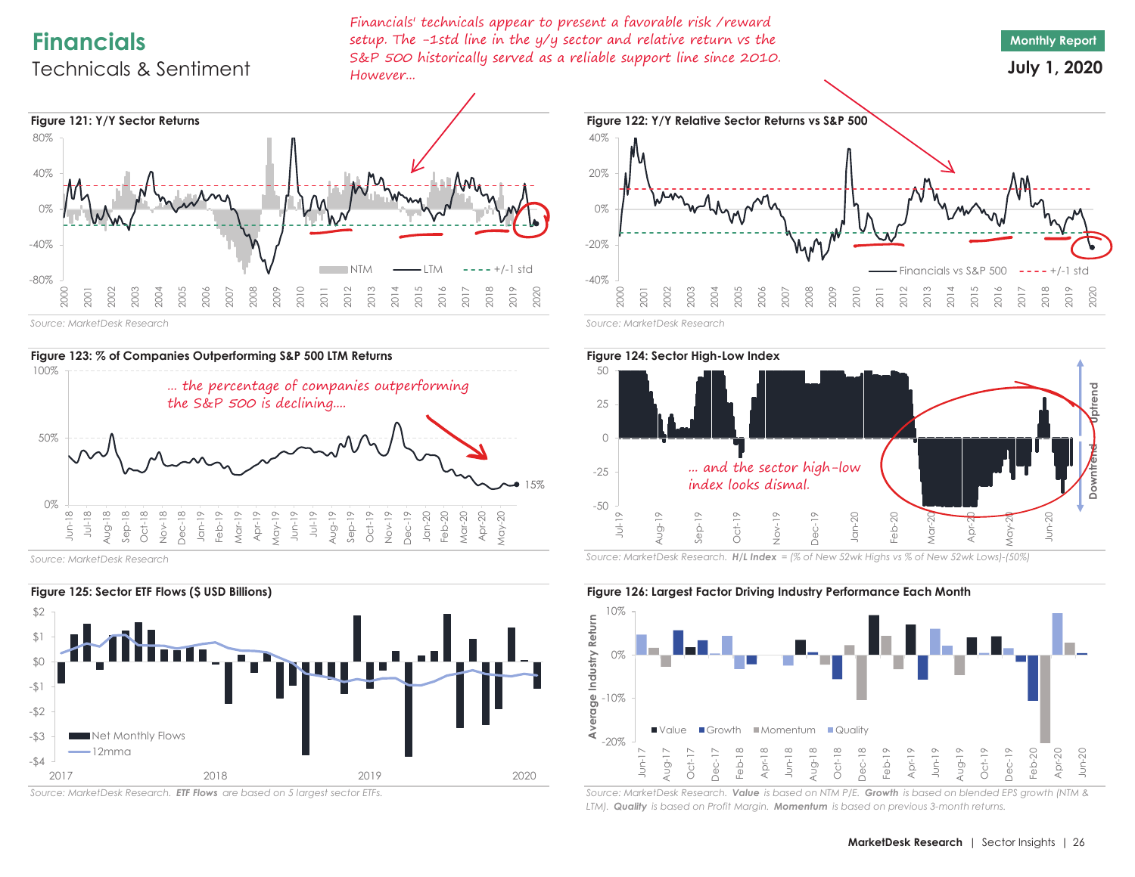# **Financials**

# Technicals & Sentiment

Financials' technicals appear to present a favorable risk /reward setup. The -1std line in the y/y sector and relative return vs the S&P 500 historically served as a reliable support line since 2010. However...

**Monthly Report July 1, 2020**



*Source: MarketDesk Research*



*Source: MarketDesk Research*



*Source: MarketDesk Research. ETF Flows are based on 5 largest sector ETFs.*





*Source: MarketDesk Research. H/L Index = (% of New 52wk Highs vs % of New 52wk Lows)-(50%)*



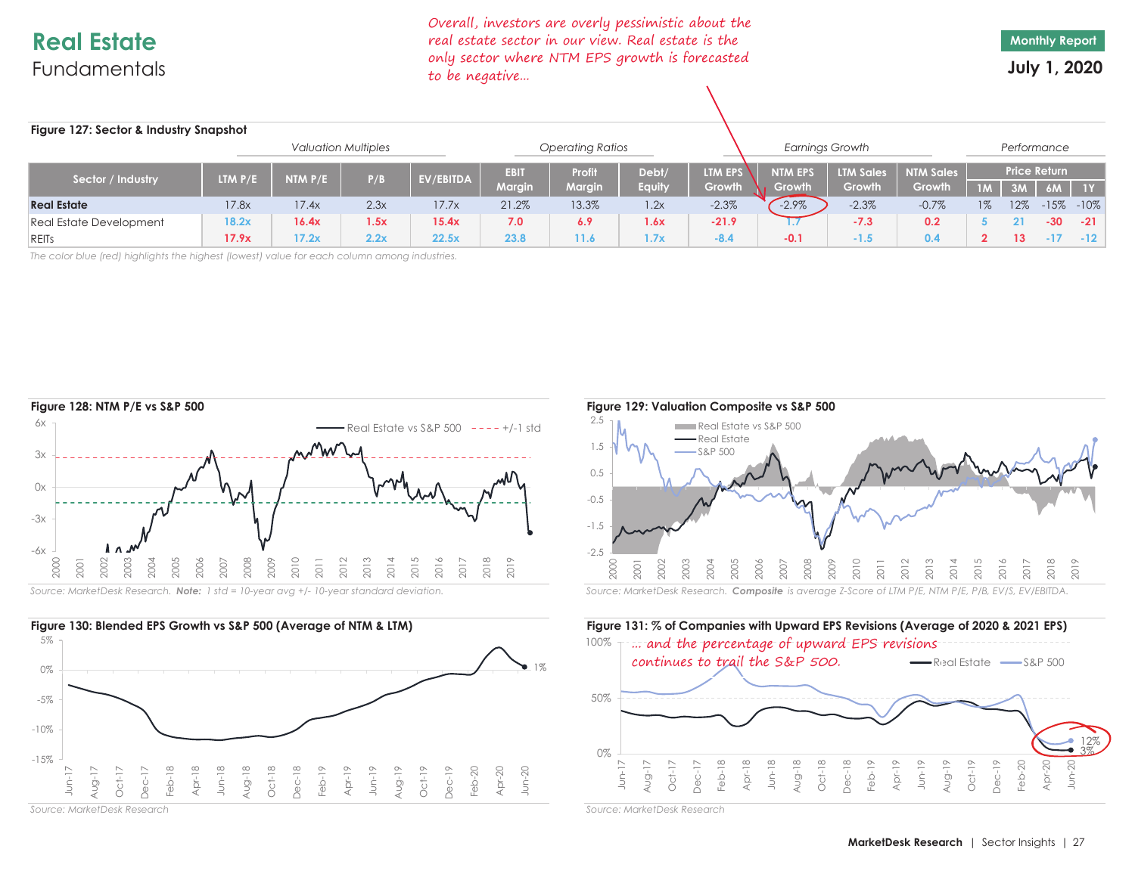# **Real Estate**Fundamentals

Overall, investors are overly pessimistic about the real estate sector in our view. Real estate is the only sector where NTM EPS growth is forecasted to be negative...

**Monthly Report**

**July 1, 2020**

| Figure 127: Sector & Industry Snapshot |                             |           |      |           |                         |               |               |         |                        |                  |                  |                     |             |       |                |  |
|----------------------------------------|-----------------------------|-----------|------|-----------|-------------------------|---------------|---------------|---------|------------------------|------------------|------------------|---------------------|-------------|-------|----------------|--|
| <b>Valuation Multiples</b>             |                             |           |      |           | <b>Operating Ratios</b> |               |               |         | <b>Earnings Growth</b> |                  |                  |                     | Performance |       |                |  |
| Sector / Industry                      | <b>LTM <math>P/E</math></b> | NTM $P/E$ | P/B  |           | <b>EBIT</b>             | Profit        | Debt/         | LTM EPS | <b>NTM EPS</b>         | <b>LTM Sales</b> | <b>NTM Sales</b> | <b>Price Return</b> |             |       |                |  |
|                                        |                             |           |      | EV/EBITDA | <b>Margin</b>           | <b>Margin</b> | <b>Equity</b> | Growth  | Growth                 | Growth           | Growth           | <b>TM</b>           | 3M          | 6M    | 1Y             |  |
| <b>Real Estate</b>                     | 17.8x                       | 17.4x     | 2.3x | 17.7x     | 21.2%                   | 13.3%         | 1.2x          | $-2.3%$ | $-2.9\%$               | $-2.3%$          | $-0.7%$          | 1%                  | 12%         |       | $-15\% - 10\%$ |  |
| <b>Real Estate Development</b>         | 18.2x                       | 16.4x     | 1.5x | 15.4x     | 7.0                     | 6.9           | 1.6x          | $-21.9$ |                        | $-7.3$           | 0.2              |                     |             | $-30$ | $-21$          |  |
| REITS                                  | 17.9x                       | 17.2x     | 2.2x | 22.5x     | 23.8                    | 11.6          | 1.7x          | $-8.4$  | $-0.1$                 | $-1.5$           | 0.4              |                     |             |       | $-12$          |  |

*The color blue (red) highlights the highest (lowest) value for each column among industries.*





*Source: MarketDesk Research*



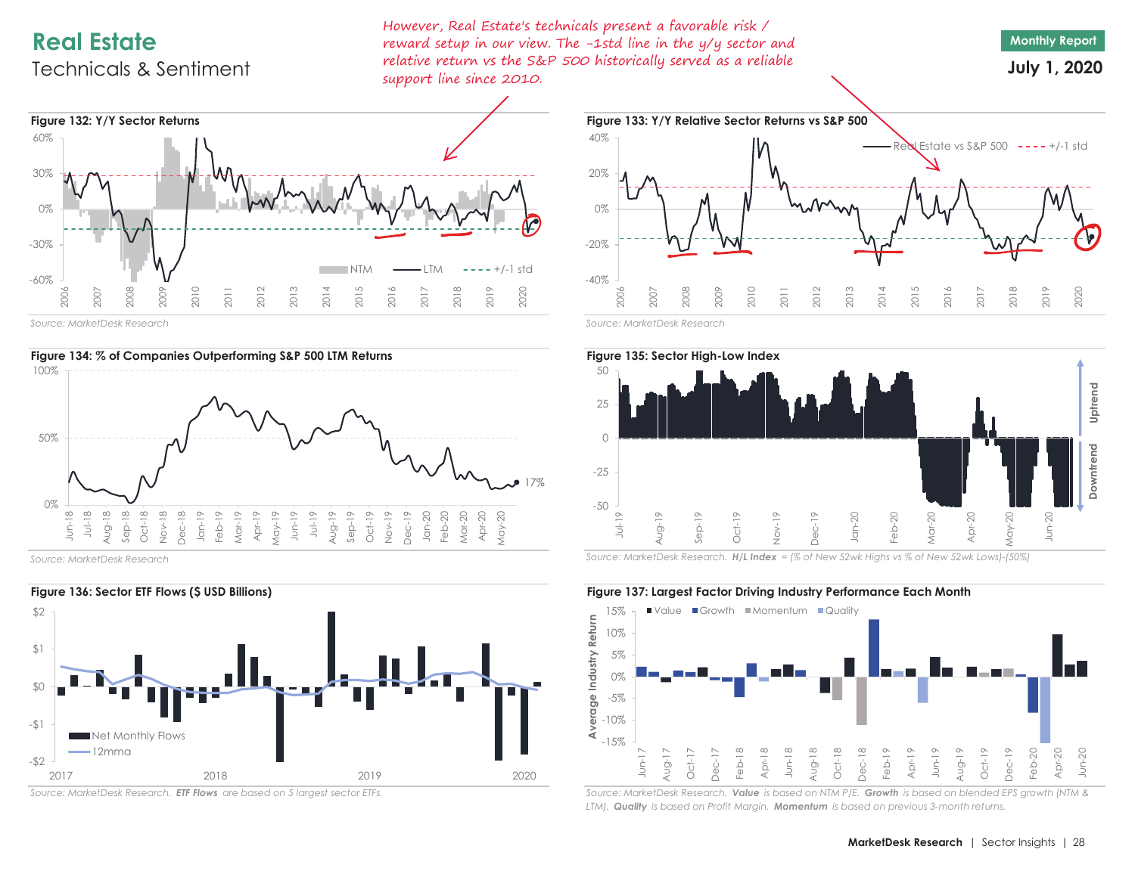# **Real Estate**

# Technicals & Sentiment

However, Real Estate's technicals present a favorable risk / reward setup in our view. The -1std line in the y/y sector and relative return vs the S&P 500 historically served as a reliable support line since 2010.



**July 1, 2020**



*Source: MarketDesk Research*



*Source: MarketDesk Research*



*Source: MarketDesk Research. ETF Flows are based on 5 largest sector ETFs.*





*Source: MarketDesk Research. H/L Index = (% of New 52wk Highs vs % of New 52wk Lows)-(50%)*